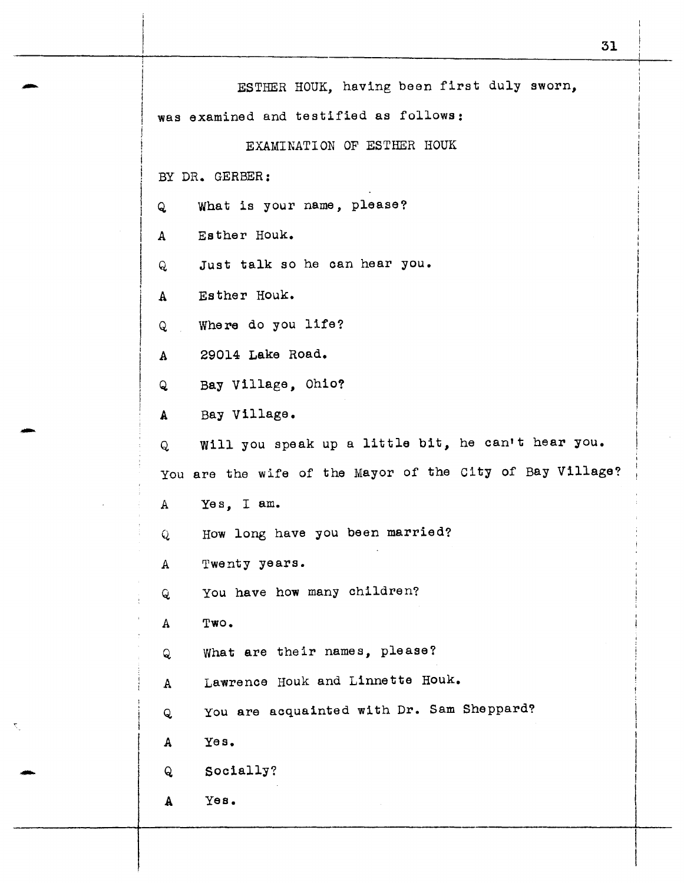| ESTHER HOUK, having been first duly sworn,<br>was examined and testified as follows: |
|--------------------------------------------------------------------------------------|
| EXAMINATION OF ESTHER HOUK                                                           |
|                                                                                      |
| BY DR. GERBER:                                                                       |
| What is your name, please?<br>Q                                                      |
| Esther Houk.<br>$\mathbf{A}$                                                         |
| Just talk so he can hear you.<br>Q                                                   |
| Esther Houk.<br>$\mathbf{A}$                                                         |
| Where do you life?<br>Q                                                              |
| 29014 Lake Road.<br>$\mathbf{A}$                                                     |
| Bay Village, Ohio?<br>Q                                                              |
| Bay Village.<br>A                                                                    |
| Will you speak up a little bit, he can't hear you.<br>Q                              |
| You are the wife of the Mayor of the City of Bay Village?                            |
| A Yes, I am.                                                                         |
| How long have you been married?<br>Q                                                 |
| Twenty years.<br>A                                                                   |
| You have how many children?<br>Q                                                     |
| Two.<br>$\mathbf{A}$                                                                 |
| What are their names, please?<br>Q                                                   |
| Lawrence Houk and Linnette Houk.<br>A                                                |
| You are acquainted with Dr. Sam Sheppard?<br>Q                                       |
| Yes.<br>A                                                                            |
| Socially?<br>Q                                                                       |
| үөв.<br>A                                                                            |
|                                                                                      |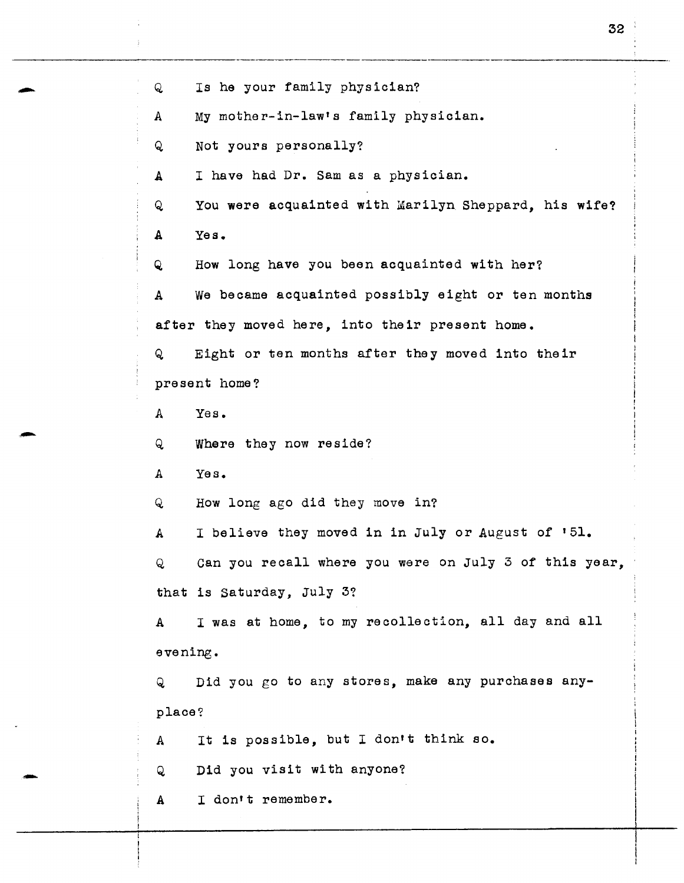Q Is he your family physician? A My mother-in-law's family physician. Q Not yours personally? A I have had Dr. Sam as a physician. Q You were acquainted with Marilyn Sheppard, his wife? A Yes. Q How long have you been acquainted with her? A We became acquainted possibly eight or ten months after they moved here, into their present home. Q Eight or ten months after they moved into their present home? A Yes. Q Where they now reside? A Yes. Q How long ago did they move in? A I believe they moved in in July or August of '51. Q can you recall where you were on July 3 of this year, that is Saturday, July 3? A I was at home, to my recollection, all day and all evening. Q Did you go to any stores, make any purchases anyplace? A Q It is possible, but I don't think so. Did you visit with anyone? A I dontt remember.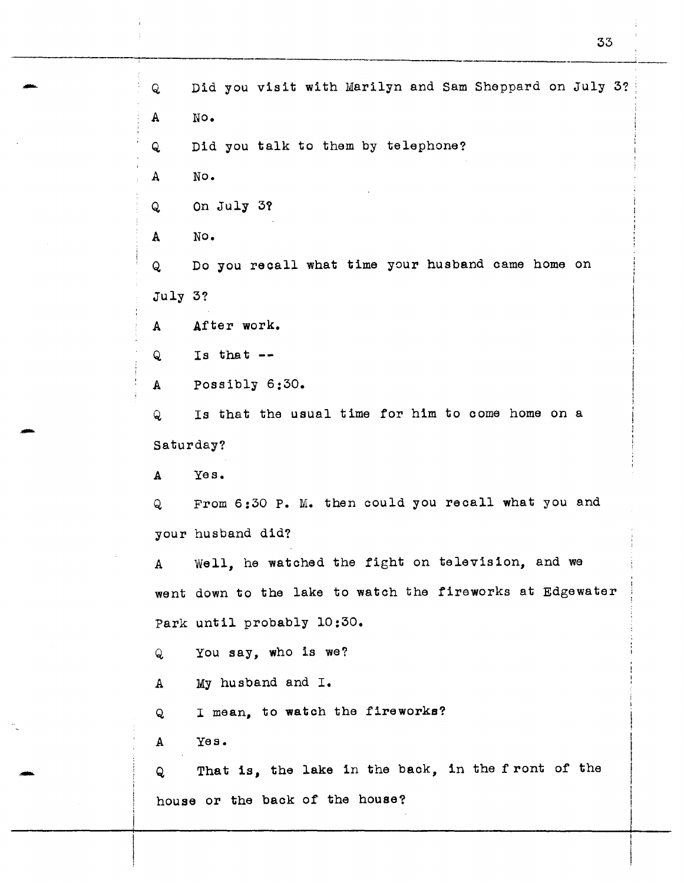Q Did you visit with Marilyn and Sam Sheppard on July 3? A No. Q Did you talk to them by telephone? A No. Q On July 3? A No. Q Do you recall what time your husband came home on July 3? A After work.  $Q = Is that --$ A Possibly 6:30. Q Is that the usual time for him to come home on a Saturday? A Yes. Q From 6:30 P. M. then could you recall what you and your husband did? A Well, he watched the fight on television, and we went down to the lake to watch the fireworks at Edgewater Park until probably 10:30. Q You say, who is we? A My husband and I. Q I mean, to watch the fireworks? A Yes. Q That is, the lake in the back, in the front of the house or the back of the house?

-

-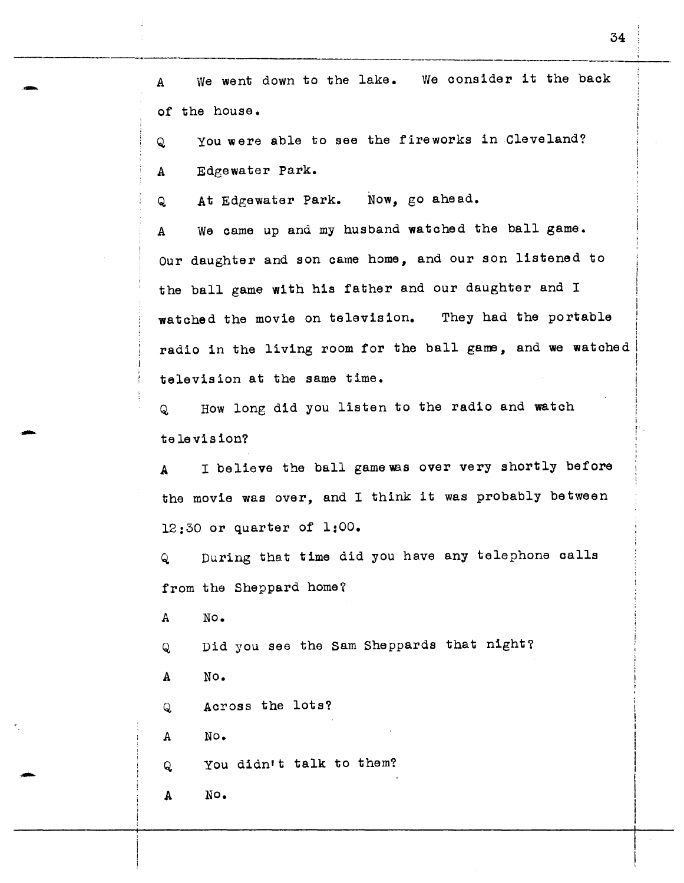A We went down to the lake. We consider it the back of the house.

Q You were able to see the fireworks in Cleveland? A Edgewater Park.

Q At Edgewater Park. Now, go ahead.

A We came up and my husband watched the ball game. Our daughter and son came home, and our son listened to the ball game with his father and our daughter and <sup>I</sup> watched the movie on television. They had the portable radio in the living room for the ball game, and we watched television at the same time.

Q How long did you listen to the radio and watch te le vis ion?

A I believe the ball game was over very shortly before the movie was over, and I think it was probably between 12:30 or quarter of 1:00.

Q During that time did you have any telephone calls from the Sheppard home?

A No.

-

-

Q Did you see the Sam Sheppards that night?

A No.

Q Across the lots?

A No.

Q You didn't talk to them?

A No.

i

I I

I

,. ! I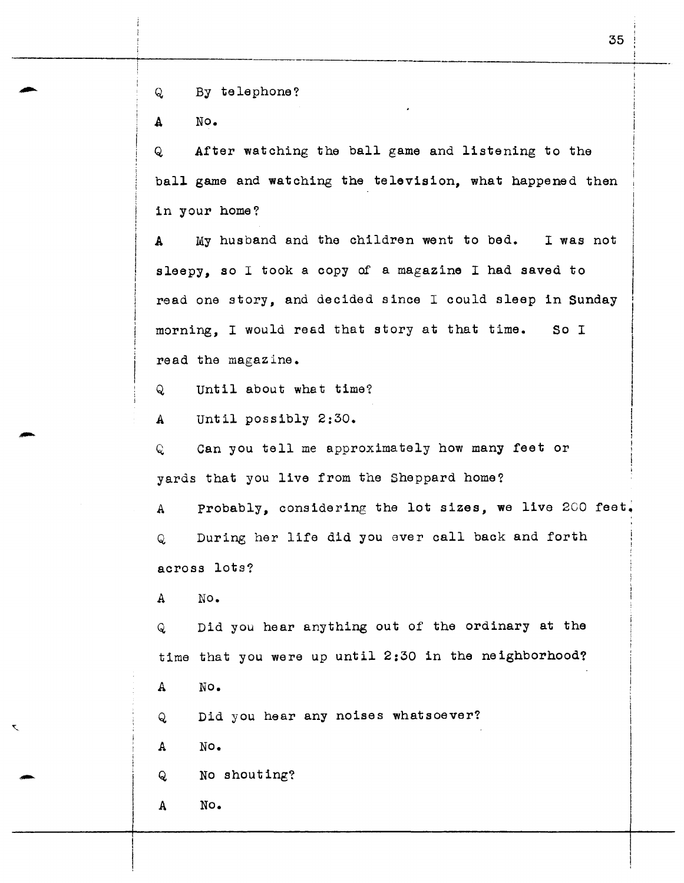Q By telephone?

A No.

Q After watching the ball game and listening to the ball game and watching the television, what happened then in your home?

A My husband and the children went to bed. I was not sleepy, so I took a copy of a magazine I had saved to read one story, and decided since I could sleep in Sunday morning, I would read that story at that time. So <sup>I</sup> read the magazine.

until about what time?  $Q$ 

A Until possibly 2:30.

Q Can you tell me approximately how many feet or yards that you live from the Sheppard home?

A Probably, considering the lot sizes, we live 200 feet.

Q During her life did you ever call back and forth across lots?

A No.

Q Did you hear anything out of the ordinary at the time that you were up until 2:30 in the neighborhood?

A No.

Q Did you hear any noises whatsoever?

A No.

Q No shouting?

A No.

I I  $\mathbf{I}$  $\mathbf{I}$ 

 $\vert$ 

 $\overline{\phantom{a}}$ 

 $\begin{array}{|c|c|} \hline \hline \hline \hline \hline \hline \end{array}$ 

 $\mathbf{I}$ I ! I I I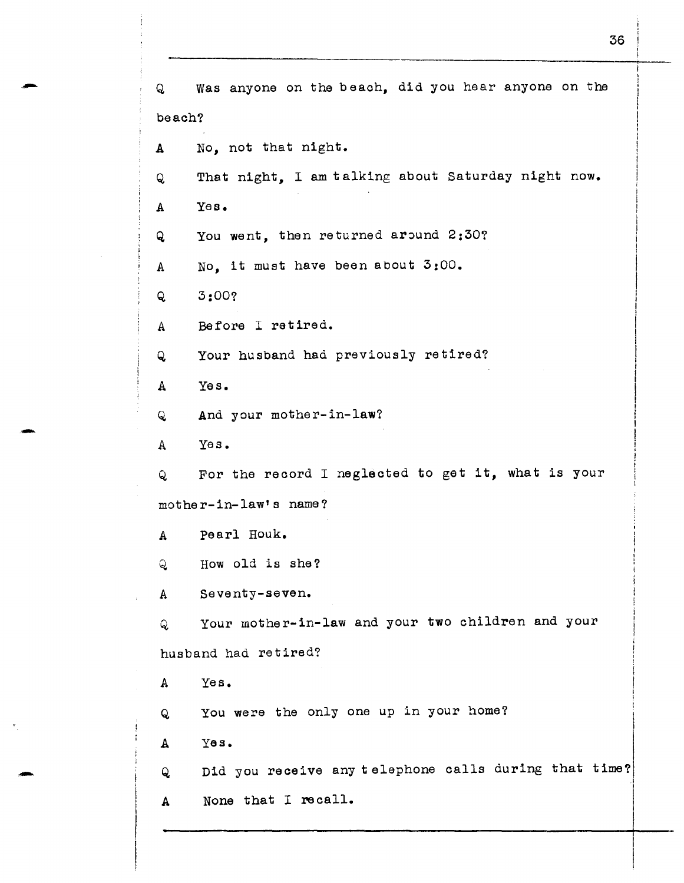Q was anyone on the beach, did you hear anyone on the beach? A No, not that night. Q That night, I am talking about Saturday night now. A Yes. Q You went, then returned around 2:30? A No, it must have been about 3:00. Q 3:00? A Before I retired. Q Your husband had previously retired? A Yes. Q And your mother-in-law? A Yes. Q For the record I neglected to get it, what is your mother-in-law's name? A Pearl Houk. Q How old is she? A seventy-seven. Q Your mother-in-law and your two children and your husband had retired? A Yes. <sup>Q</sup>You were the only one up in your home? A Yes. I I I  $\mathbf{I}$  $\vert$ Q Did you receive any telephone calls during that time? <sup>A</sup>None that I recall.

-

-

36

i

l

 $\vert$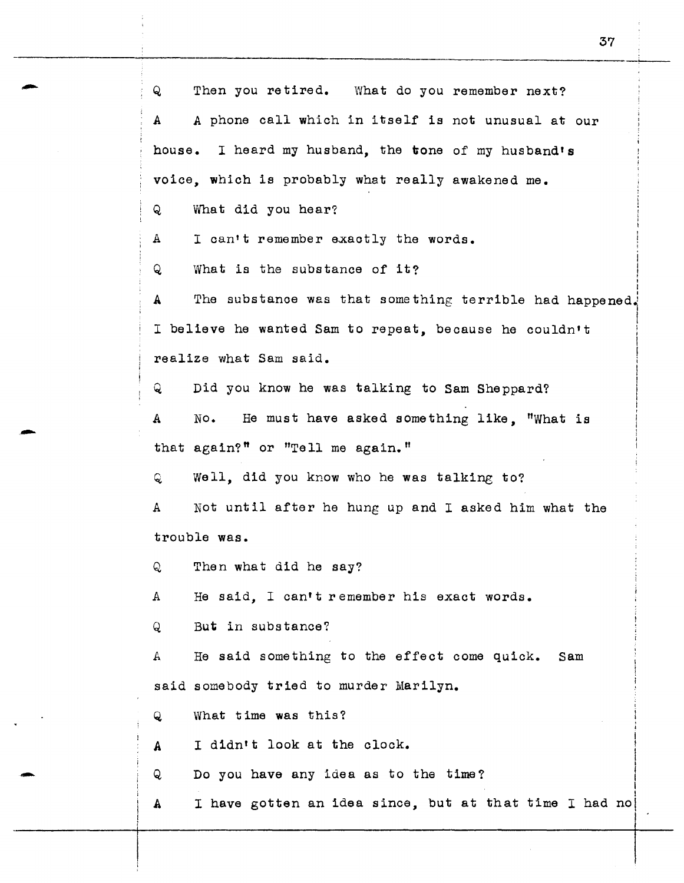Q Then you retired. What do you remember next? A A phone call which in itself is not unusual at our house. I heard my husband, the tone of my husband's voice, which is probably what really awakened me. Q What did you hear? A I can't remember exactly the words. <sup>Q</sup>What is the substance of it? I I ' I I A The substance was that something terrible had happened. <sup>I</sup>believe he wanted Sam to repeat, because he couldn't realize what Sam said. 1 Q Did you know he was talking to Sam Sheppard? A No. He must have asked something like, "What is that again?" or "Tell me again." Q Well, did you know who he was talking to? *<sup>A</sup>*Not until after he hung up and I asked him what the trouble was. Q Then what did he say? A He said, I can't remember his exact words. Q But in substance? A He said something to the effect come quick. Sam said somebody tried to murder Marilyn. Q What time was this? I A I didn't look at the clock.  $\mathbf{I}$ I Q Do you have any idea as to the time? I I A  $\;$  I have gotten an idea since, but at that time I had no $\;$ 

-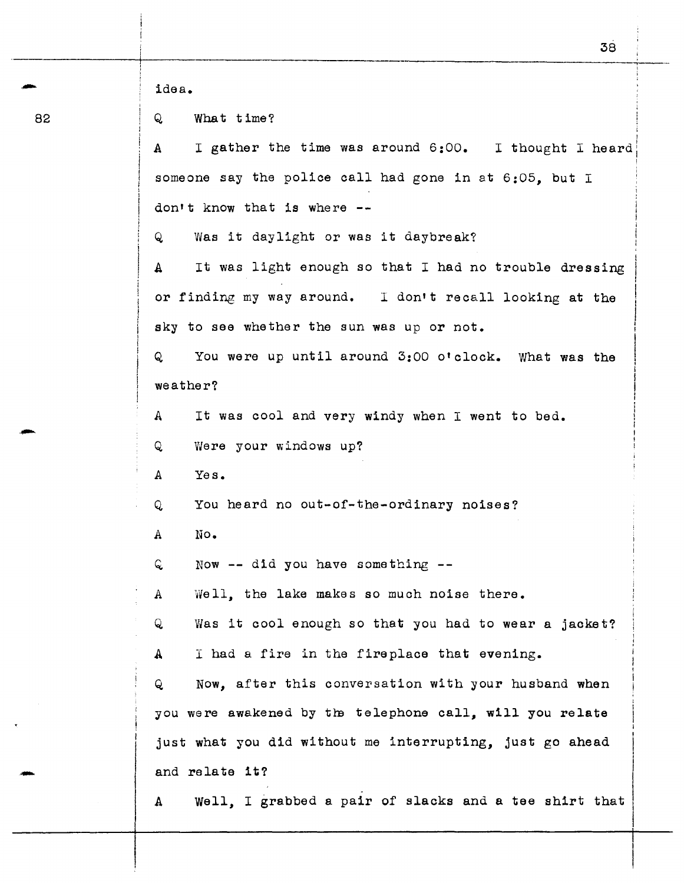| idea.                                                                 |  |  |  |  |  |  |
|-----------------------------------------------------------------------|--|--|--|--|--|--|
| What time?<br>Q.                                                      |  |  |  |  |  |  |
| I gather the time was around 6:00. I thought I heard<br>A             |  |  |  |  |  |  |
| someone say the police call had gone in at 6:05. but I                |  |  |  |  |  |  |
| don't know that is where $-$ -                                        |  |  |  |  |  |  |
| Was it daylight or was it daybreak?<br>Q                              |  |  |  |  |  |  |
| It was light enough so that I had no trouble dressing<br>$\mathbf{A}$ |  |  |  |  |  |  |
| or finding my way around. I don't recall looking at the               |  |  |  |  |  |  |
| sky to see whether the sun was up or not.                             |  |  |  |  |  |  |
| You were up until around 3:00 o'clock. What was the<br>Q              |  |  |  |  |  |  |
| weather?                                                              |  |  |  |  |  |  |
| It was cool and very windy when I went to bed.<br>A                   |  |  |  |  |  |  |
| Were your windows up?<br>Q                                            |  |  |  |  |  |  |
| Yes.<br>A                                                             |  |  |  |  |  |  |
| You heard no out-of-the-ordinary noises?<br>Q                         |  |  |  |  |  |  |
| No.<br>А                                                              |  |  |  |  |  |  |
| Now $--$ did you have something $--$<br>Q                             |  |  |  |  |  |  |
| Well, the lake makes so much noise there.<br>А                        |  |  |  |  |  |  |
| Was it cool enough so that you had to wear a jacket?<br>Q             |  |  |  |  |  |  |
| I had a fire in the fireplace that evening.<br>A                      |  |  |  |  |  |  |
| Now, after this conversation with your husband when<br>Q              |  |  |  |  |  |  |
| you were awakened by the telephone call, will you relate              |  |  |  |  |  |  |
| just what you did without me interrupting, just go ahead              |  |  |  |  |  |  |
| and relate it?                                                        |  |  |  |  |  |  |
| Well, I grabbed a pair of slacks and a tee shirt that<br>A            |  |  |  |  |  |  |

82

-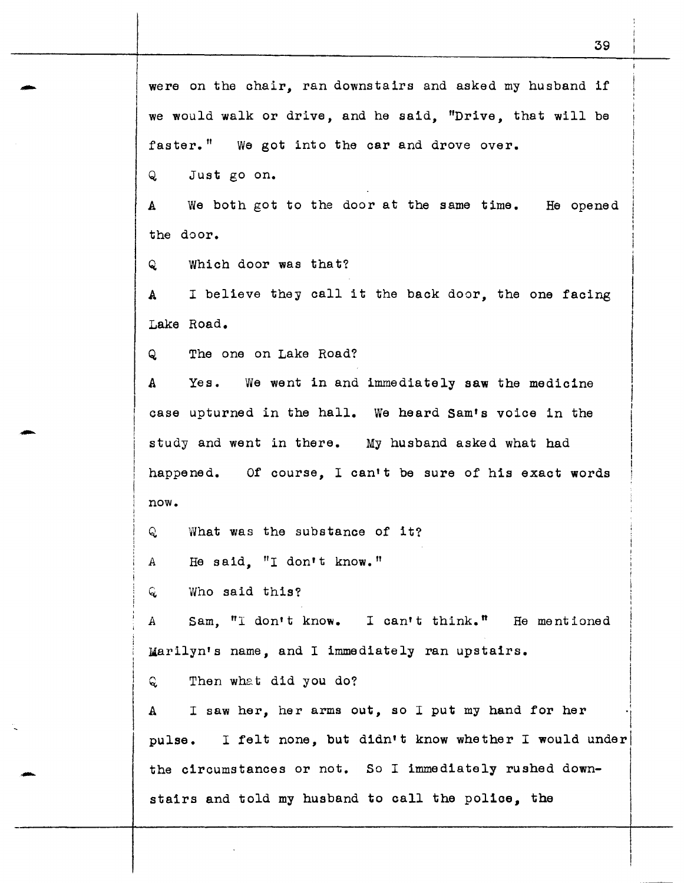Q Just go on.

A We both got to the door at the same time. He opened the door.

Q Which door was that?

A I believe they call it the back door, the one facing Lake Road.

Q The one on Lake Road?

A Yes. We went in and immediately saw the medicine case upturned in the hall. We heard Sam's voice in the study and went in there. My husband asked what had happened. Of course, I can't be sure of his exact words now.

Q What was the substance of it?

A He said. "I don't know."

 $Q$  Who said this?

Sam. "I don't know. I can't think." He mentioned A Marilyn's name, and I immediately ran upstairs.

Q Then what did you do?

A I saw her, her arms out, so I put my hand for her pulse. I felt none, but d1dn1 t know whether I would underl the circumstances or not. So I immediately rushed downstairs and told my husband to call the police, the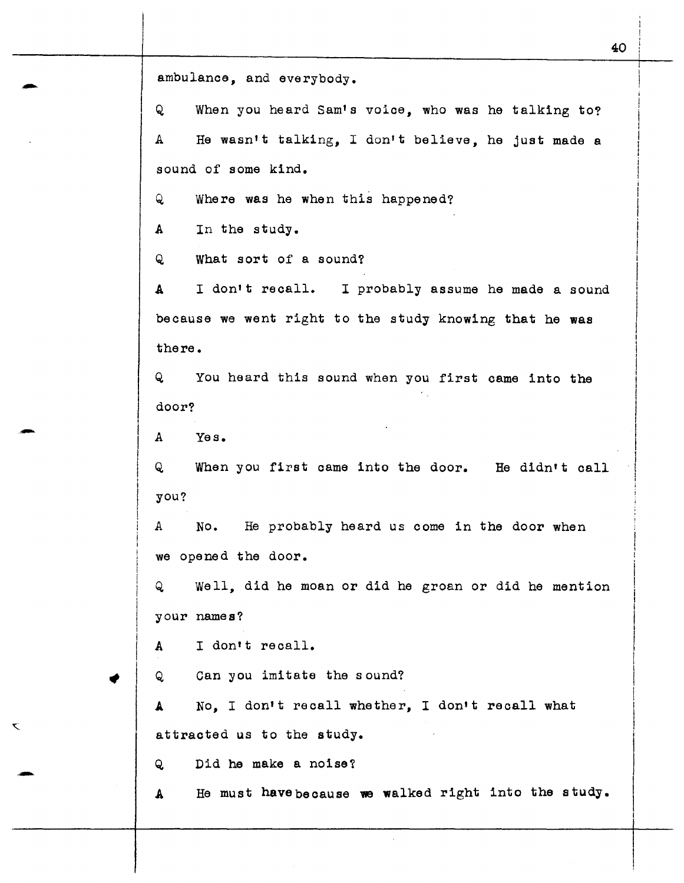ambulance, and everybody.<br>Q When you heard Sam's When you heard Sam's voice, who was he talking to? A He wasn't talking, I don't believe, he just made a sound of some kind. Q Where was he when this happened? A In the study. Q What sort of a sound? A I don•t recall. I probably assume he made a sound because we went right to the study knowing that he was there. Q You heard this sound when you first came into the door? door?<br>
A Yes. Q When you first came into the door. He didn•t call you? A No. He probably heard us come in the door when we opened the door. Q Well, did he moan or did he groan or did he mention your names? A I don't recall. Q Can you imitate the sound? A No, I don't recall whether, I don't recall what attracted us to the study. Q Did he make a noise? A He must have because we walked right into the study. 40

K.

i

 $\vert$  $\overline{\phantom{a}}$  $\overline{\phantom{a}}$ I  $\mathbf{I}$ 

 $\vert$ I  $\mathbf{I}$  $\vert$ 

 $\vert$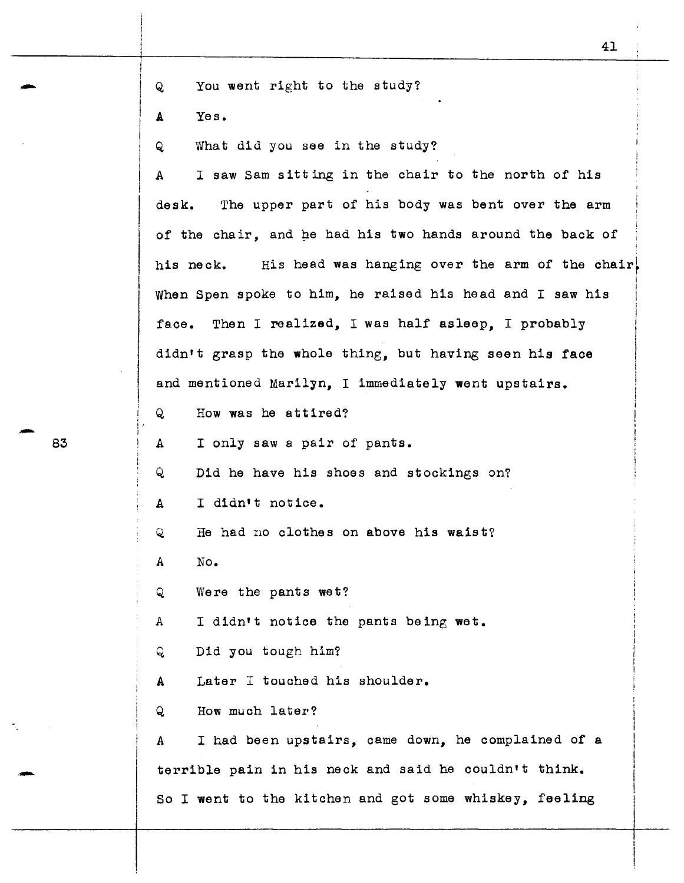Q You went right to the study?

A Yes.

Q What did you see in the study?

A I saw Sam sitting in the chair to the north of his desk. The upper part of his body was bent over the arm of the chair, and he had his two hands around the back of his neck. His head was hanging over the arm of the chair. When Spen spoke to him, he raised his head and I saw his face. Then I realized, I was half asleep, I probably didn't grasp the whole thing, but having seen his face and mentioned Marilyn, I immediately went upstairs. I I I I i I i  $\mathbf{I}$ i

Q How was he attired?

<sup>A</sup>I only saw a pair of pants.

Q Did he have his shoes and stockings on?

<sup>A</sup>I didn't notice.

Q He had no clothes on above his waist?

A No.

'

I

Q Were the pants wet?

A I didn't notice the pants being wet.

Q. Did you tough him?

A Later I touched his shoulder.

Q How much later?

*A* I had been upstairs, came down, he complained of a terrible pain in his neck and said he couldn't think. So I went to the kitchen and got some whiskey, feeling

 $83$ 83

-

I I I ! ! ' ' !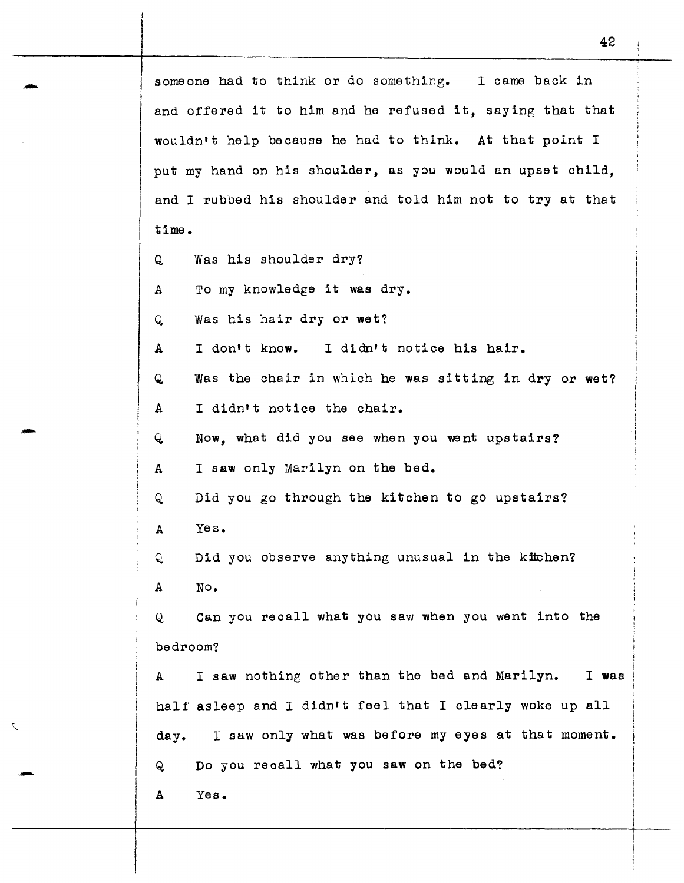someone had to think or do something. I came back in and offered it to him and he refused it, saying that that wouldn't help because he had to think. At that point <sup>I</sup> put my hand on his shoulder, as you would an upset child, and I rubbed his shoulder and told him not to try at that time.

- Q Was his shoulder dry?
- A To my knowledge it was dry.
- Q Was his hair dry or wet?
- A <sup>I</sup>don't know. I didn't notice his hair.
- Q was the chair in which he was sitting in dry or wet?
- A I didn't notice the chair.
- Q. Now, what did you see when you went upstairs?
- A I saw only Marilyn on the bed.
- Q. Did you go through the kitchen to go upstairs?
- A Yes.

-

·-

-

Q. A Did you observe anything unusual in the kitchen? No.

Q. Can you recall what you saw when you went into the bedroom?

A <sup>I</sup>saw nothing other than the bed and Marilyn. I was half asleep and I didn't feel that I clearly woke up all day. I saw only what was before my eyes at that moment. Do you recall what you saw on the bed? Q

A Yes.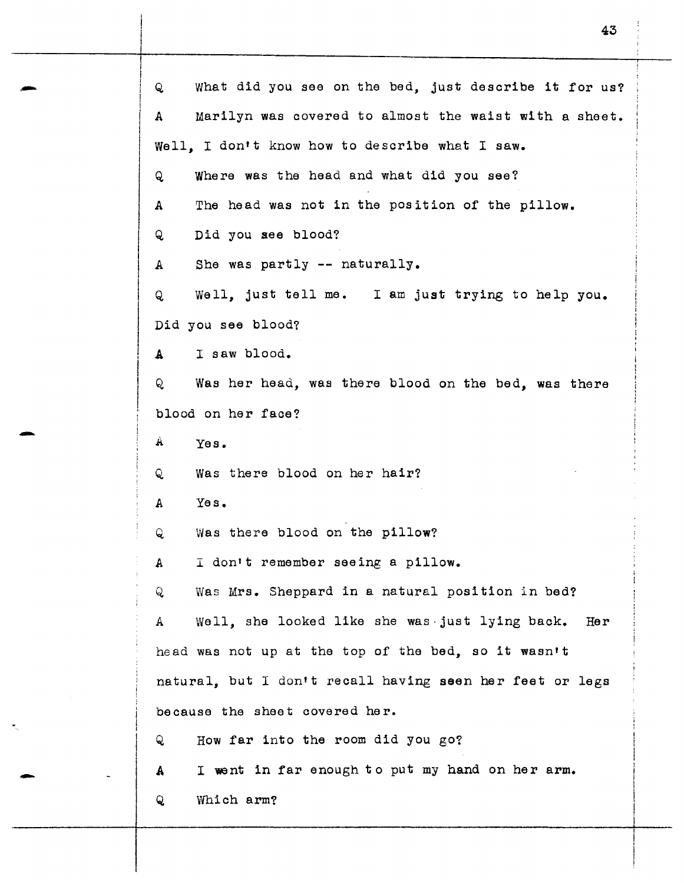Q What did you see on the bed, just describe it for us? A Marilyn was covered to almost the waist with a sheet. Well, I don't know how to describe what I saw. Q Where was the head and what did you see? A The head was not in the position of the pillow. Q Did you see blood? A She was partly -- naturally. Q Well, just tell me. I am just trying to help you. Did you see blood? A I saw blood. Q Was her head, was there blood on the bed, was there blood on her face? A Yes. Q Was there blood on her hair? A Yes. Q Was there blood on the pillow? *A* I don't remember seeing a pillow. Q Was Mrs. Sheppard in a natural position in bed? *<sup>A</sup>*Well, she looked like she was·just lying back. Her head was not up at the top of the bed, so it wasn't natural, but I don't recall having seen her feet or legs be cause the sheet covered her. Q How far into the room did you go? A Q I went in far enough to put my hand on her arm. Which arm?

43

-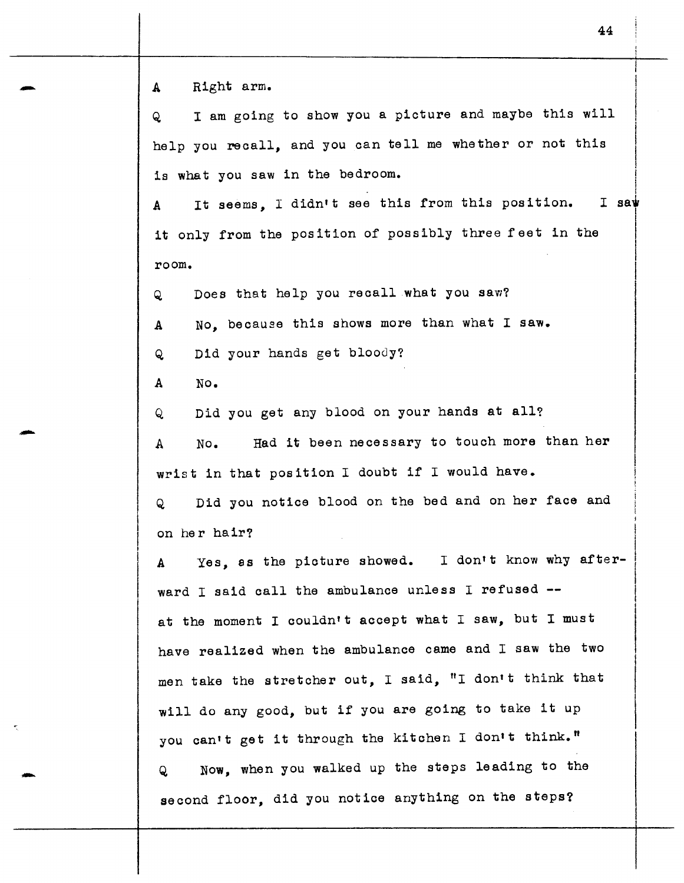A Right arm.

-

-

-

Q I am going to show you a picture and maybe this will help you recall, and you can tell me whether or not this is what you saw in the bedroom.<br>A Tt seems. I didn't see this from this position. I saw

A It seems. I didn't see this from this position. it only from the position of possibly three feet in the room.  $\overline{\phantom{a}}$  $\vert$  $\vert$ 

Q Does that help you recall what you saw?

A No, because this shows more than what I saw.

Q Did your hands get bloody?

A No.

Q Did you get any blood on your hands at all?

A No. Had it been necessary to touch more than her wrist in that position I doubt if I would have.

Q Did you notice blood on the bed and on her face and on her hair?

A Yes, as the picture showed. I don't know why afterward I said call the ambulance unless I refused -at the moment I couldn't accept what I saw, but I must have realized when the ambulance came and I saw the two men take the stretcher out, I said, "I don't think that will do any good, but if you are going to take it up you can't get it through the kitchen I don't think." Q Now, when you walked up the steps leading to the

second floor, did you notice anything on the steps?

i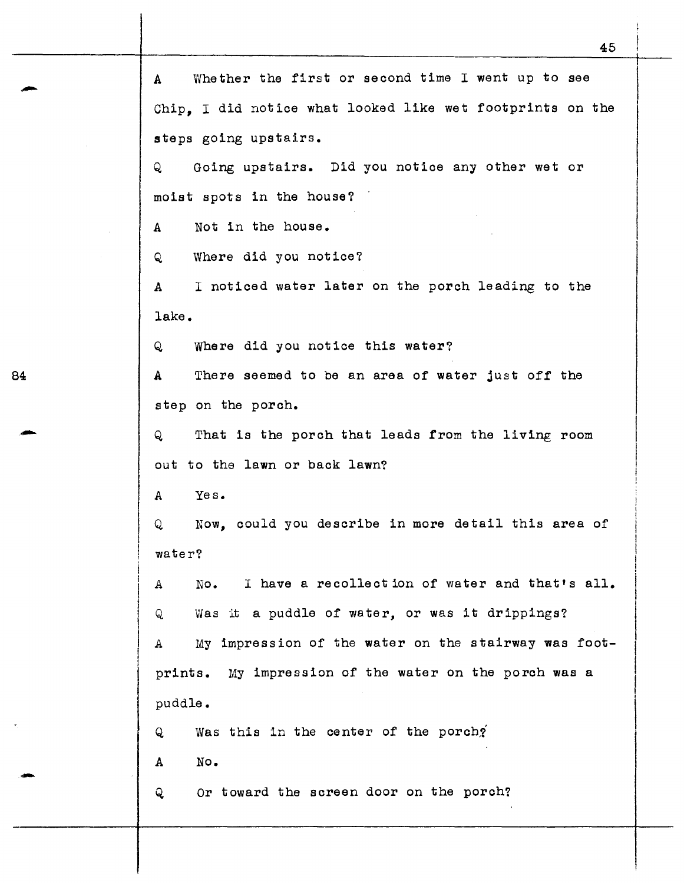45 A Whether the first or second time I went up to see Chip, I did notice what looked like wet footprints on the steps going upstairs. Q Going upstairs. Did you notice any other wet or moist spots in the house? A Not in the house. Q Where did you notice? A I noticed water later on the porch leading to the lake. Q Where did you notice this water? A There seemed to be an area of water just off the step on the porch. Q That is the porch that leads from the living room out to the lawn or back lawn? A Yes. Q Now, could you describe in more detail this area of water? A No. I have a recollection of water and that's all. <sup>Q</sup>Was it a puddle of water, or was it drippings? A My impression of the water on the stairway was footprints. My impression of the water on the porch was a puddle.  $Q$  Was this in the center of the porch? A No. Q Or toward the screen door on the porch?

84

-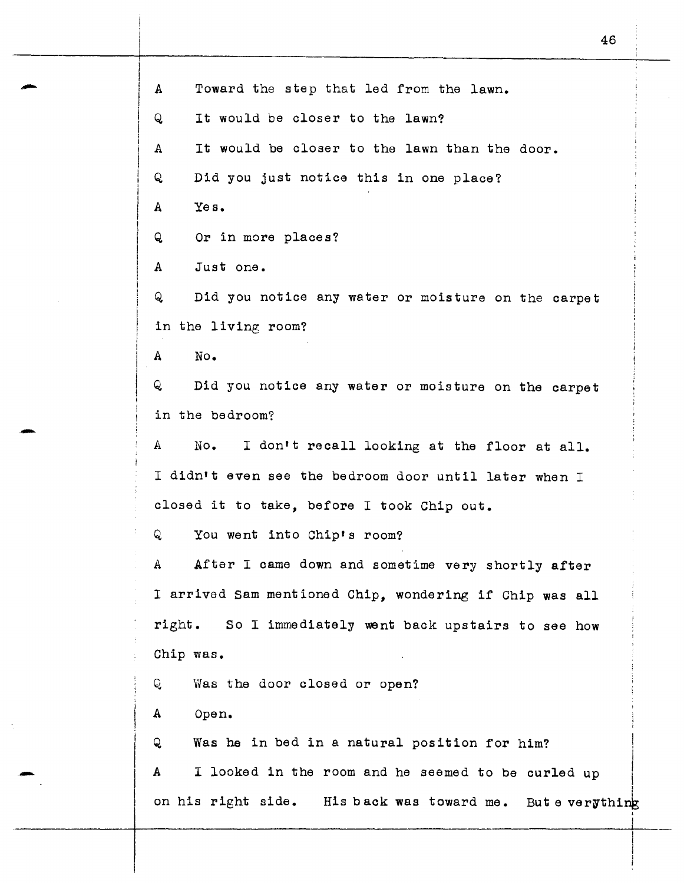A Toward the step that led from the lawn. Q It would be closer to the lawn? A It would be closer to the lawn than the door. Q Did you just notice this in one place? A Yes. Q Or in more places? A Just one. Q Did you notice any water or moisture on the carpet in the living room? A No. Q Did you notice any water or moisture on the carpet in the bedroom? A No. I don't recall looking at the floor at all. I didn't even see the bedroom door until later when I closed it to take, before I took Chip out. Q You went into Chip's room? A After I came down and sometime very shortly after I arrived Sam mentioned Chip, wondering if Chip was all right. So I immediately went back upstairs to see how Chip was. Q Was the door closed or open? A Open. Q Was he in bed in a natural position for him? i A  $I$  looked in the room and he seemed to be curled up  $I$ A I looked in the room and he seemed to be curled up I on his right side. His back was toward me. But e verything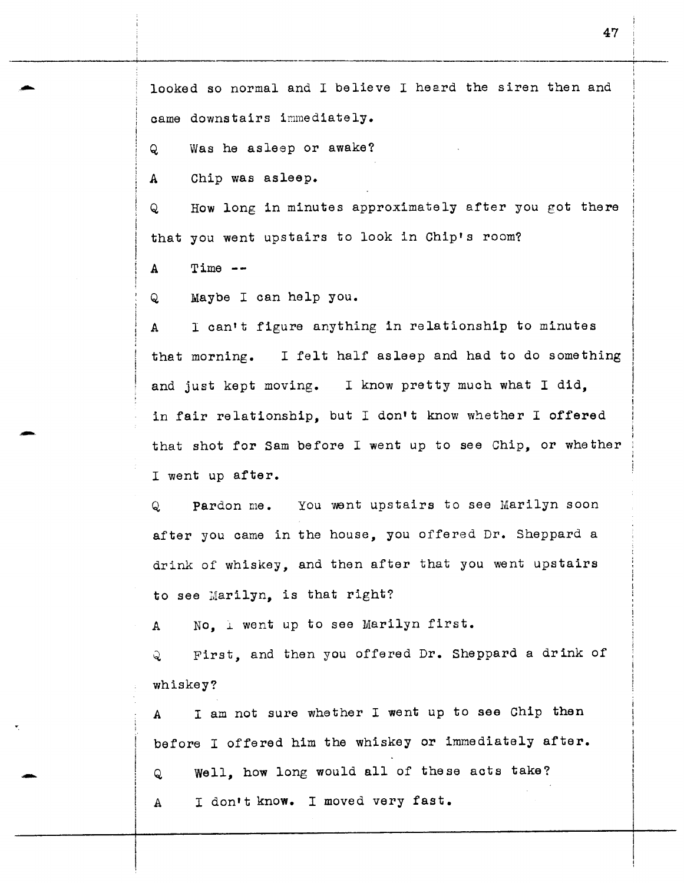looked so normal and I believe I heard the siren then and came downstairs immediately.

Q Was he asleep or awake?

A Chip was asleep.

Q How long in minutes approximately after you got there that you went upstairs to look in Chip's room?

 $A$  Time  $-$ 

Q Maybe I can help you.

A I can't figure anything in relationship to minutes that morning. I felt half asleep and had to do something and just kept moving. I know pretty much what I did, in fair relationship, but I don't know whether I offered that shot for Sam before I went up to see Chip, or whether I went up after.

Q Pardon me. You went upstairs to see Marilyn soon after you came in the house, you offered Dr. Sheppard a drink of whiskey, and then after that you went upstairs to see Marilyn, is that right?

A  $\sim$  No,  $\perp$  went up to see Marilyn first.

Q First, and then you offered Dr. Sheppard a drink of whiskey?

A I am not sure whether I went up to see Chip then before I offered him the whiskey or immediately after. Q Well, how long would all of these acts take? A I don't know. I moved very fast.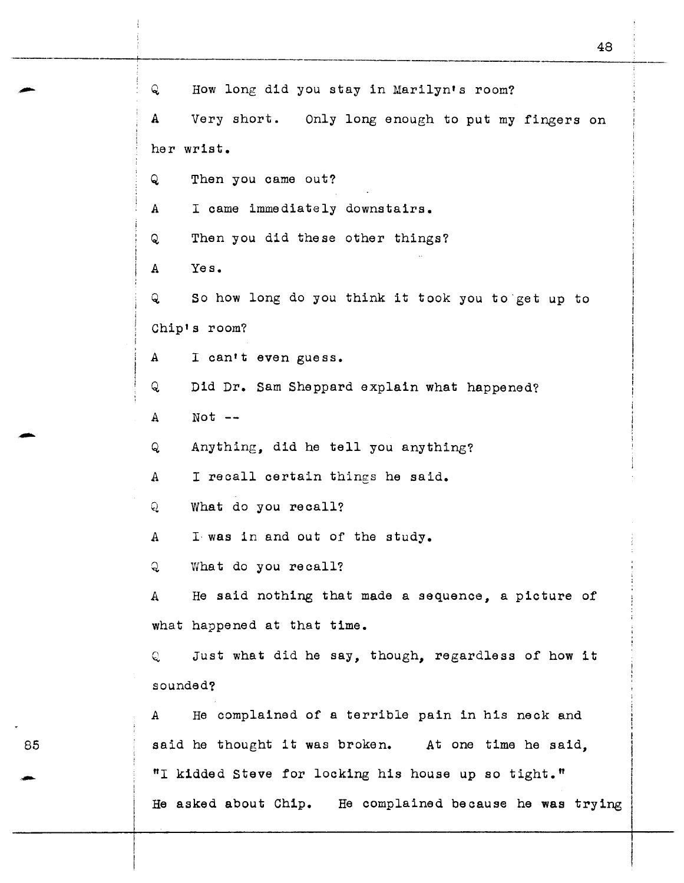Q How long did you stay in Marilyn's room? A Very short. Only long enough to put my fingers on her wrist. Q Then you came out? A I came immediately downstairs. Q Then you did these other things? A Yes. Q So how long do you think it took you to·get up to Chip's room? A I can't even guess. Q Did Dr. Sam Sheppard explain what happened? A Not Q Anything, did he tell you anything? A I recall certain things he said. Q What do you recall? A I· was in and out of the study. Q What do you recall? A He said nothing that made a sequence, a picture of what happened at that time. Q Just what did he say, though, regardless of how it sounded? A He complained of a terrible pain in his neck and said he thought it was broken. At one time he said, "I kidded Steve for locking his house up so tight." He asked about Chip. He complained because he was trying

48

85

-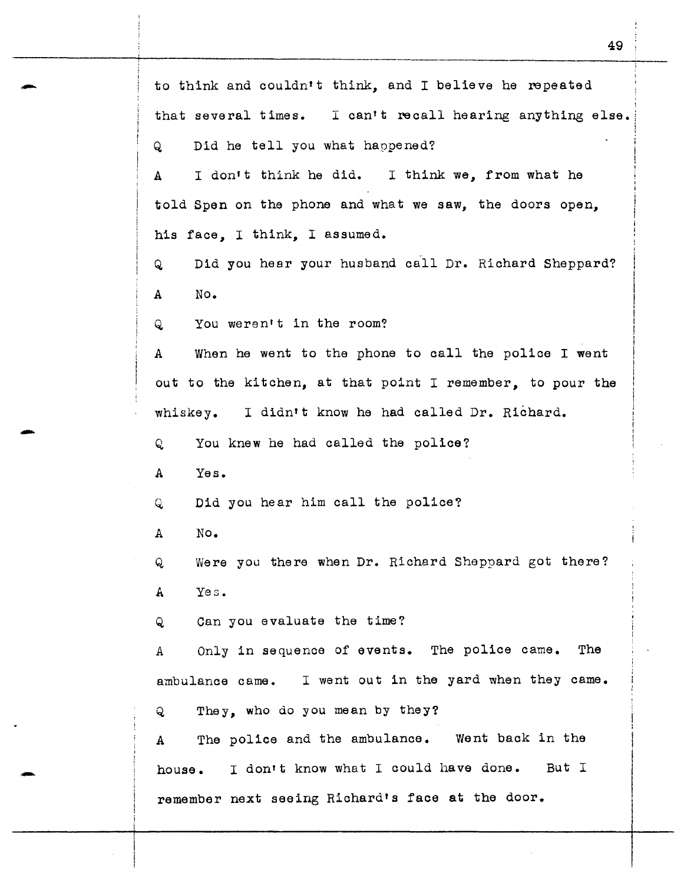| to think and couldn't think, and I believe he repeated              |  |  |  |  |  |
|---------------------------------------------------------------------|--|--|--|--|--|
| that several times. I can't recall hearing anything else.           |  |  |  |  |  |
| Did he tell you what happened?<br>Q                                 |  |  |  |  |  |
| I don't think he did. I think we, from what he<br>A                 |  |  |  |  |  |
| told Spen on the phone and what we saw, the doors open,             |  |  |  |  |  |
| his face, I think, I assumed.                                       |  |  |  |  |  |
| Did you hear your husband call Dr. Richard Sheppard?<br>Q           |  |  |  |  |  |
| No.<br>A                                                            |  |  |  |  |  |
| You weren't in the room?<br>Q                                       |  |  |  |  |  |
| When he went to the phone to call the police I went<br>$\mathbf{A}$ |  |  |  |  |  |
| out to the kitchen, at that point I remember, to pour the           |  |  |  |  |  |
| whiskey. I didn't know he had called Dr. Richard.                   |  |  |  |  |  |
| You knew he had called the police?<br>Q                             |  |  |  |  |  |
| Yes.<br>A                                                           |  |  |  |  |  |
| Did you hear him call the police?<br>Q                              |  |  |  |  |  |
| No.<br>A                                                            |  |  |  |  |  |
| Were you there when Dr. Richard Sheppard got there?<br>Q            |  |  |  |  |  |
| Yes.<br>$\mathbf{A}$                                                |  |  |  |  |  |
| Can you evaluate the time?<br>Q                                     |  |  |  |  |  |
| Only in sequence of events. The police came. The<br>Α               |  |  |  |  |  |
| ambulance came. I went out in the yard when they came.              |  |  |  |  |  |
| They, who do you mean by they?<br>Q                                 |  |  |  |  |  |
| The police and the ambulance. Went back in the<br>A                 |  |  |  |  |  |
| house. I don't know what I could have done. But I                   |  |  |  |  |  |
| remember next seeing Richard's face at the door.                    |  |  |  |  |  |

49

-

-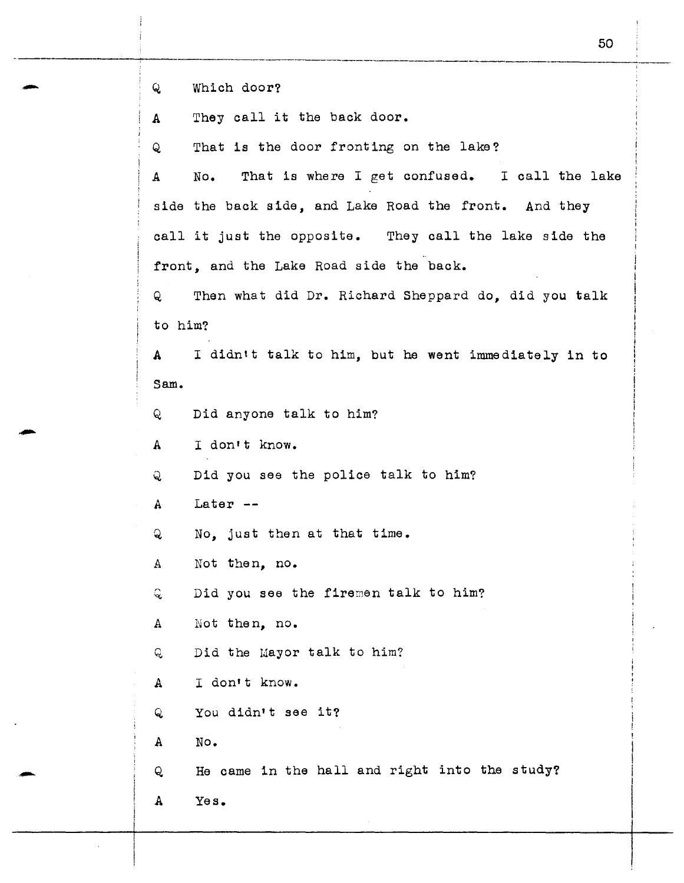Q, Which door?

A They call it the back door.

Q That is the door fronting on the lake?

<sup>A</sup>No. That is where I get confused. I call the lake side the back side, and Lake Road the front. And they call it just the opposite. They call the lake side the front, and the Lake Road side the back.

Q Then what did Dr. Richard Sheppard do, did you talk to him?

A I didntt talk to him, but he went immediately in to Sam.

Q Did anyone talk to him?

A I don't know.

Q Did you see the police talk to him?

A Later --

Q No, just then at that time.

.A Not then, no.

 $\mathbf Q$ Did you see the firemen talk to him?

A Not then, no.

Q. Did the Mayor talk to him?

A I don't know.

<sup>Q</sup>You didn't see it?

A No.

Q. He came in the hall and right into the study?

A Yes.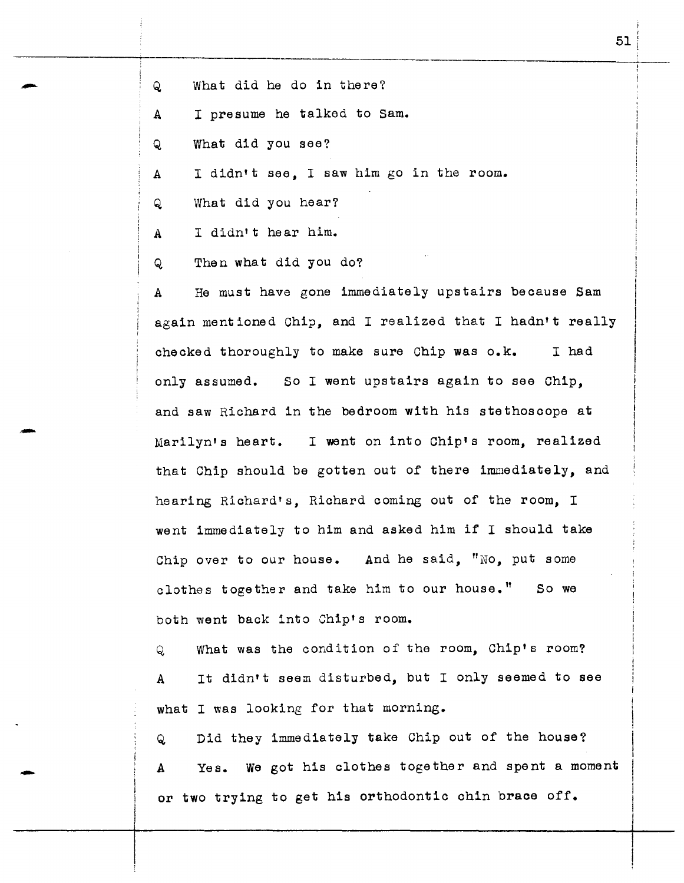Q What did he do in there?

A I presume he talked to Sam.

Q What did you see?

A I didn't see, I saw him go in the room.

Q What did you hear?

A I didn't hear him.

-

-

Q Then what did you do?

A He must have gone immediately upstairs because Sam again mentioned Chip, and I realized that I hadn't really checked thoroughly to make sure Chip was o.k. I had only assumed. So I went upstairs again to see Chip, and saw Richard in the bedroom with his stethoscope at Marilyn's heart. I went on into Chip's room, realized that Chip should be gotten out of there immediately, and hearing Richard's, Richard coming out of the room, I went immediately to him and asked him if I should take Chip over to our house. And he said, "No, put some clothes together and take him to our house." So we both went back into Chip's room.

Q What was the condition of the room, Chip's room? A It didn't seem disturbed, but I only seemed to see what I was looking for that morning.

Q Did they immediately take Chip out of the house? A Yes. we got his clothes together and spent a moment or two trying to get his orthodontic chin brace off.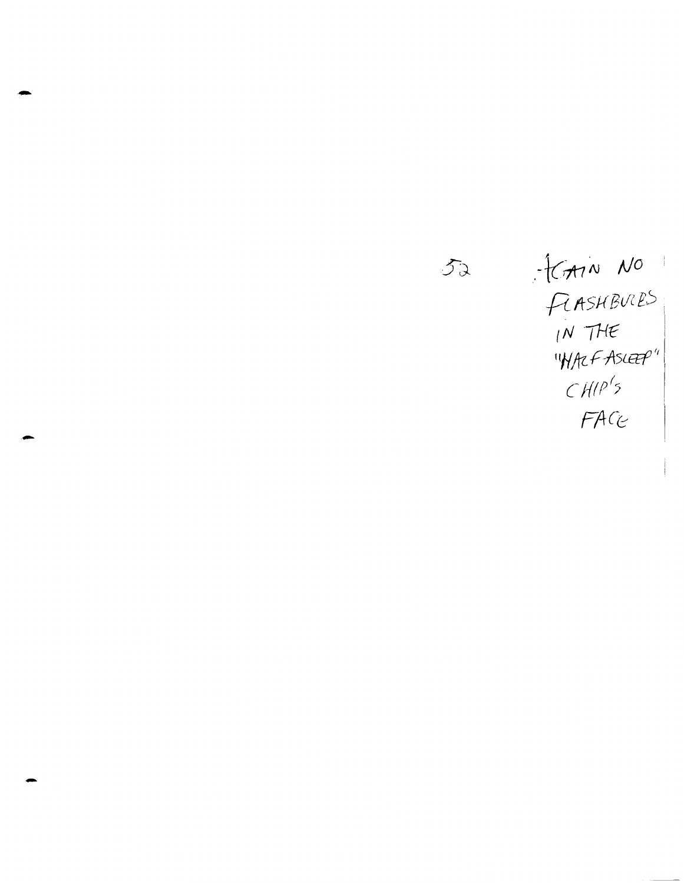52 .  $tan N 0$  $F$ *ASHBULES*  $f$ *N*  $THE$ "Whet Ascep"  $CHIP<sup>1</sup>5$ *FAC2* 

-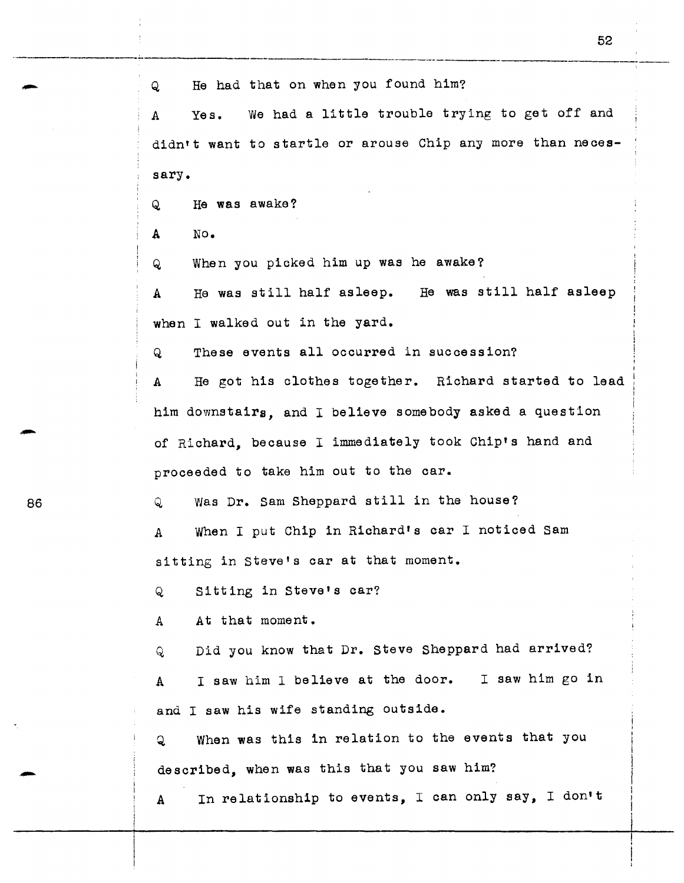-··------ Q He had that on when you found him? A Yes. We had a little trouble trying to get off and didn't want to startle or arouse Chip any more than necessary. Q He was awake? A No. Q When you picked him up was he awake? A He was still half asleep. He was still half asleep when I walked out in the yard. Q These events all occurred in succession? A He got his clothes together. Richard started to lead him downstairs, and I believe somebody asked a question of Richard, because I immediately took Chip's hand and proceeded to take him out to the car. Q Was Dr. Sam Sheppard still in the house? A When I put Chip in Richard's car I noticed Sam sitting in Steve's car at that moment. Q Sitting in Steve's car? A At that moment. Q Did you know that Dr. Steve Sheppard had arrived? <sup>A</sup>I saw him I believe at the door. I saw him go in and I saw his wife standing outside. Q When was this in relation to the events that you described, when was this that you saw him? A In relationship to events, I can only say, I don't

52

86

--

-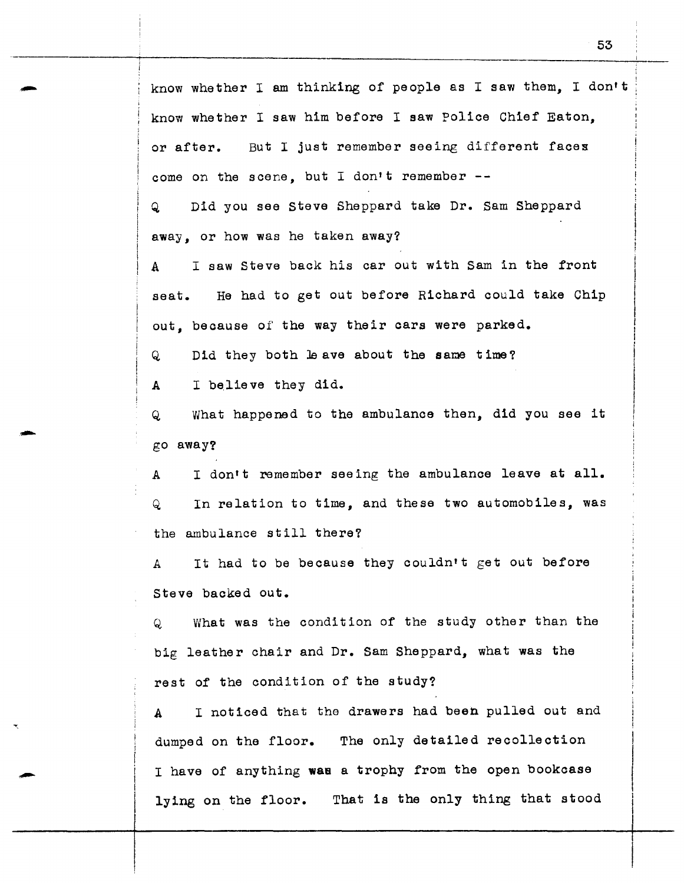know whether I am thinking of people as I saw them, I don't know whether I saw him before I saw Police Chief Eaton, or after. But I just remember seeing different facex come on the scene, but I don't remember --

Q Did you see Steve Sheppard take Dr. Sam Sheppard away, or how was he taken away?

A I saw Steve back his car out with Sam in the front seat. He had to get out before Richard could take Chip out, because of the way their cars were parked.

Q Did they both Je ave about the same time?

A I believe they did.

Q What happened to the ambulance then, did you see it go away?

A I don't remember seeing the ambulance leave at all. Q In relation to time, and these two automobiles, was the ambulance still there?

A It had to be because they couldn't get out before Steve backed out.

Q What was the condition of the study other than the big leather chair and Dr. Sam Sheppard, what was the rest of the condition of the study?

A I noticed that the drawers had been pulled out and dumped on the floor. The only detailed recollection I have of anything **wae** a trophy from the open bookcase lying on the floor. That is the only thing that stood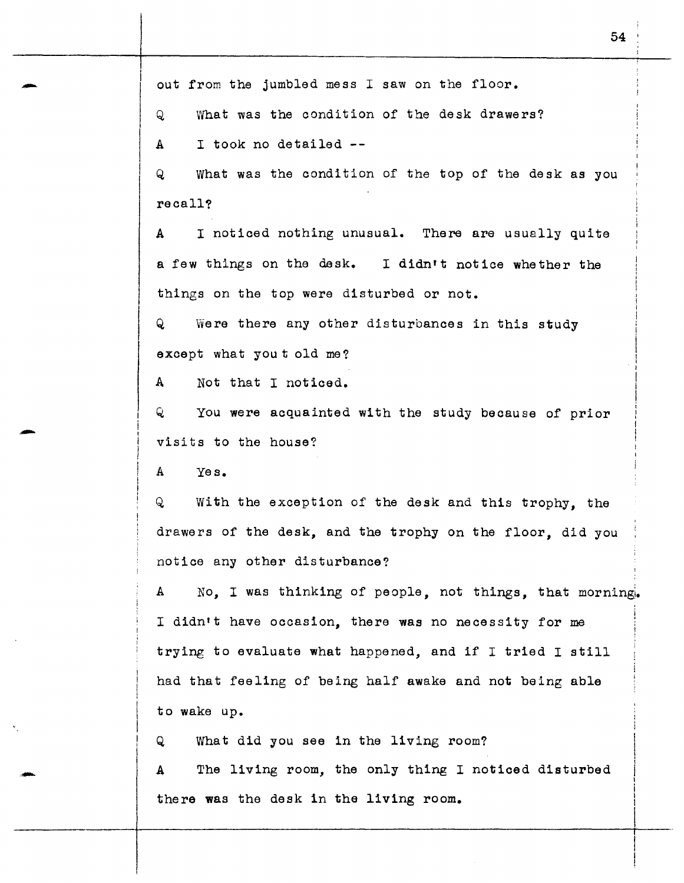out from the jumbled mess I saw on the floor.

Q What was the condition of the desk drawers?

A I took no detailed --

Q What was the condition of the top of the desk as you recall?

A I noticed nothing unusual. There are usually quite a few things on the desk. I didn't notice whether the things on the top were disturbed or not.

Q Were there any other disturbances in this study except what you t old me?

A Not that I noticed.

Q You were acquainted with the study because of prior visits to the house?

A Yes.

-

-

'-

Q With the exception of the desk and this trophy, the drawers of the desk, and the trophy on the floor, did you notice any other disturbance?

A No, I was thinking of people, not things, that morning. <sup>I</sup>didn't have occasion, there was no necessity for me trying to evaluate what happened, and if I tried I still had that feeling of being half awake and not being able to wake up.

Q What did you see in the living room?

A The living room, the only thing I noticed disturbed there was the desk in the living room.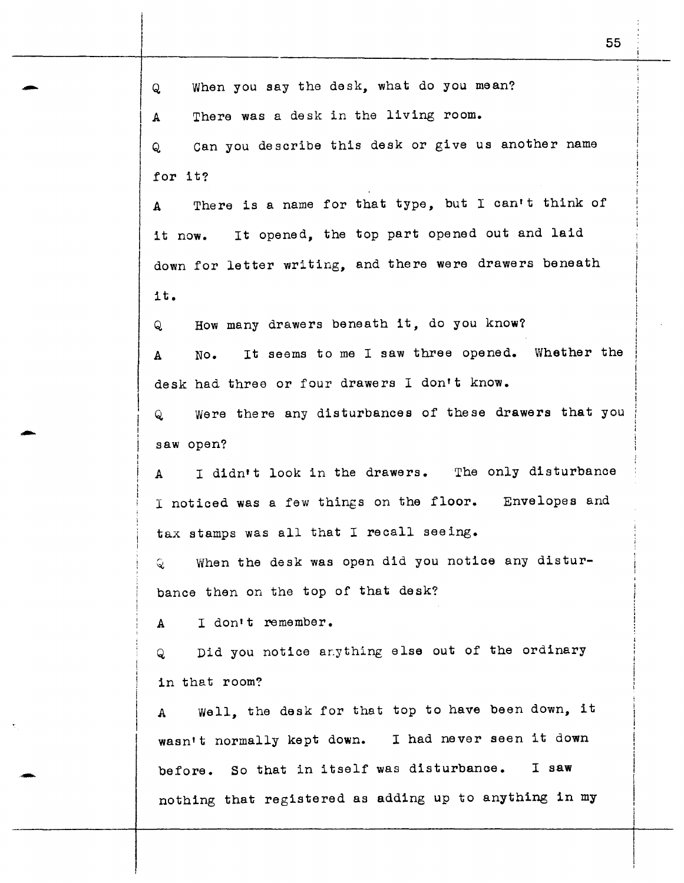Q When you say the desk, what do you mean? A There was a desk in the living room. Q can you describe this desk or give us another name for it? A There is a name for that type, but I can't think of it now. It opened, the top part opened out and laid down for letter writing, and there were drawers beneath it. Q How many drawers beneath it, do you know? A No. It seems to me I saw three opened. Whether the desk had three or four drawers I don't know. Q were there any disturbances of these drawers that you saw open? A I didn't look in the drawers. The only disturbance <sup>I</sup>noticed was a few things on the floor. Envelopes and tax stamps was all that I recall seeing.  $Q$  When the desk was open did you notice any disturbance then on the top of that desk? A I don't remember. Q Did you notice anything else out of the ordinary in that room? A Well, the desk for that top to have been down, it wasn't normally kept down. I had never seen it down before. So that in itself was disturbance. I saw nothing that registered as adding up to anything in my

-

-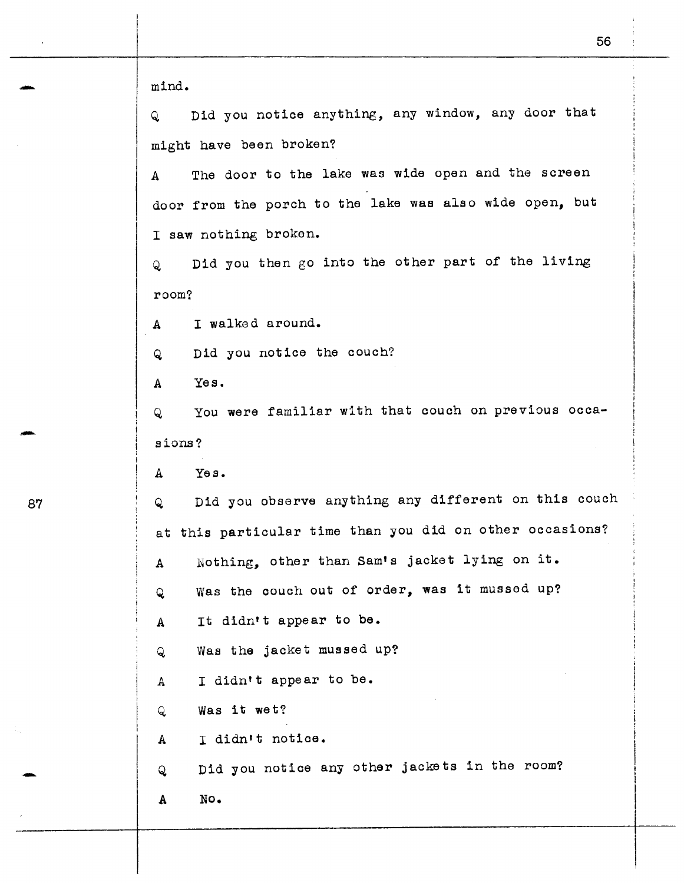56 mind. Q Did you notice anything, any window, any door that might have been broken? A The door to the lake was wide open and the screen door from the porch to the lake was also wide open, but I saw nothing broken. Q Did you then go into the other part of the living room? A I walked around. Q Did you notice the couch? A Yes. Q You were familiar with that couch on previous occasions? Yes. A Did you observe anything any different on this couch  $\mathbf{Q}$ at this particular time than you did on other occasions? A Nothing, other than Sam•s jacket lying on it. Q was the couch out of order, was it mussed up? A It didn•t appear to be. Q Was the jacket mussed up? A I didn't appear to be. Q. Was it wet? A I didn't notice. Did you notice any other jackets in the room? Q A No.

87

-

-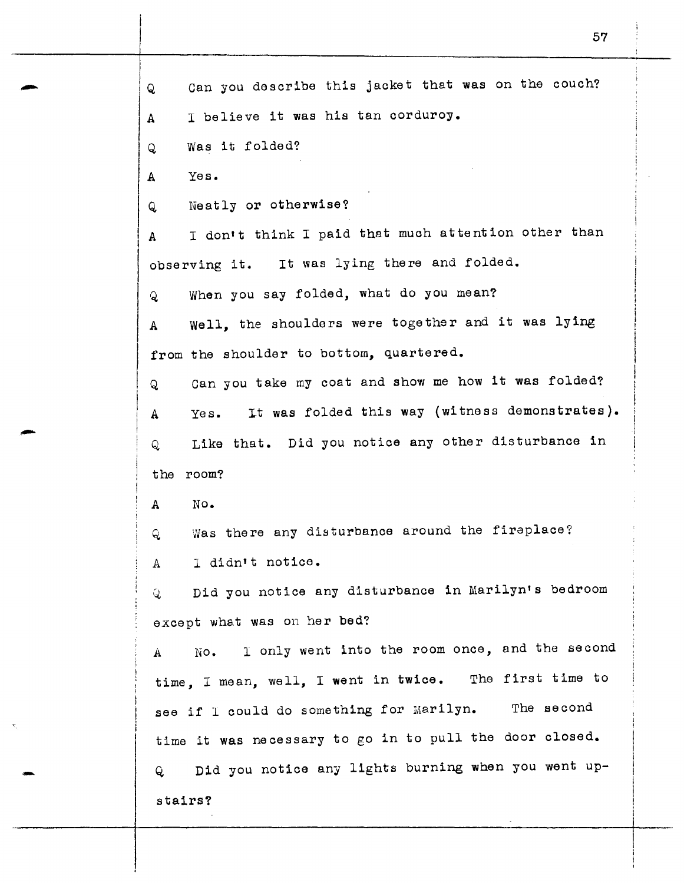Q Can you describe this jacket that was on the couch? A I believe it was his tan corduroy. Q Was it folded? A Yes. Q Neatly or otherwise? A I don't think I paid that much attention other than observing it. It was lying there and folded. Q When you say folded, what do you mean? A Well, the shoulders were together and it was lying from the shoulder to bottom, quartered. Q can you take my coat and show me how it was folded? A Yes. It was folded this way (witness demonstrates). Q Like that. Did you notice any other disturbance in the room? A No. Q was there any disturbance around the fireplace? *A* I didn't notice. <sup>~</sup>Did you notice any disturbance in Marilyn's bedroom except what was on her bed? A No. I only went into the room once, and the second time, I mean, well, I went in twice. The first time to see if I could do something for Marilyn. The second time it was necessary to go in to pull the door closed. Q Did you notice any lights burning when you went upstairs?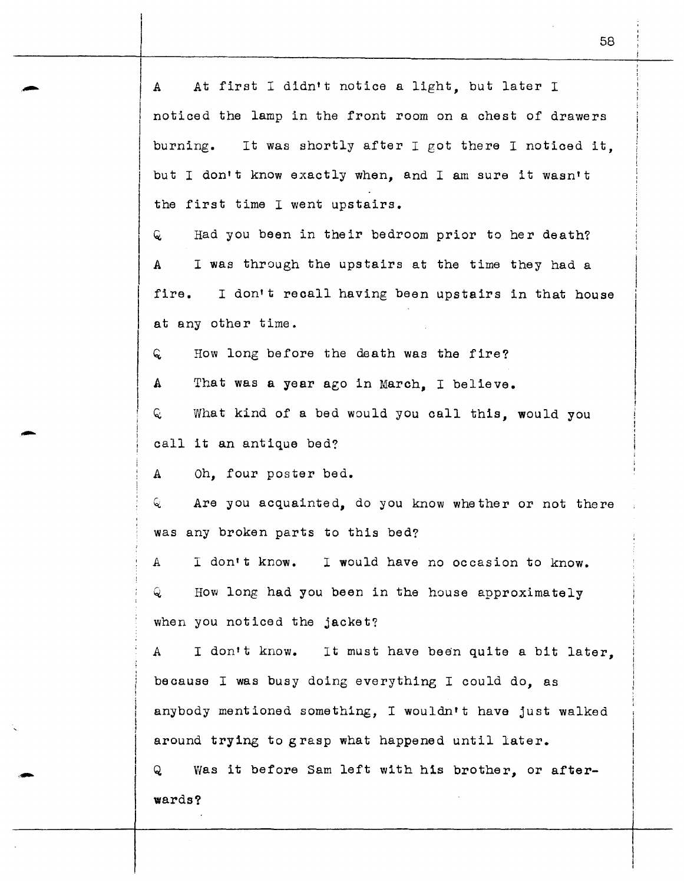A At first I didn't notice a light, but later I noticed the lamp in the front room on a chest of drawers burning. It was shortly after I got there I noticed it, but I don't know exactly when, and I am sure it wasn't the first time I went upstairs.

 $Q$  Had you been in their bedroom prior to her death? A I was through the upstairs at the time they had a fire. I don't recall having been upstairs in that house at any other time.

 $Q$  How long before the death was the fire?

A That was a year ago in March, I believe.

<sup>~</sup>What kind of a bed would you call this, would you call it an antique bed?

A Oh, four poster bed.

-

 $Q$  Are you acquainted, do you know whether or not there was any broken parts to this bed?

I don't know. I would have no occasion to know. Α Q. How long had you been in the house approximately when you noticed the jacket?

A I don't know. It must have been quite a bit later. because I was busy doing everything I could do, as anybody mentioned something, I wouldn't have just walked around trying to grasp what happened until later.

Q was it before Sam left with his brother, or afterwards?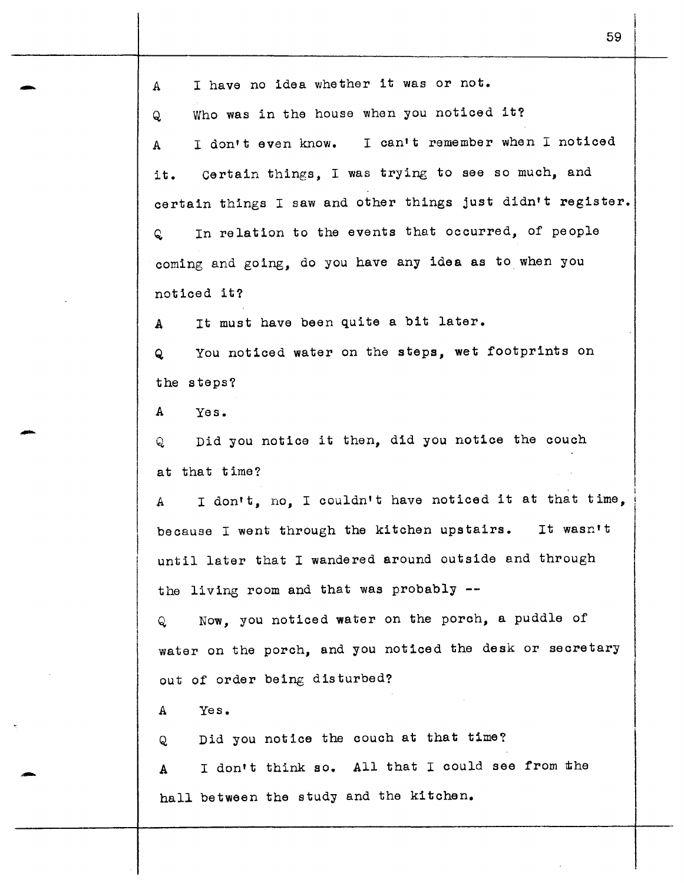A I have no idea whether it was or not. Q Who was in the house when you noticed it? <sup>A</sup>I don't even know. I can•t remember when I noticed it. Certain things, I was trying to see so much, and certain things I saw and other things just didn't register. Q In relation to the events that occurred, of people coming and going, do you have any idea as to when you noticed it? A It must have been quite a bit later. Q You noticed water on the steps, wet footprints on the steps? A Yes. Q Did you notice it then, did you notice the couch at that time? A I don't, no, I couldn't have noticed it at that time, because I went through the kitchen upstairs. It wasn't until later that I wandered around outside and through the living room and that was probably -- Q Now, you noticed water on the porch, a puddle of water on the porch, and you noticed the desk or secretary out of order being disturbed? A Yes. Q Did you notice the couch at that time? A I don't think so. All that I could see from the hall between the study and the kitchen.

59

-

-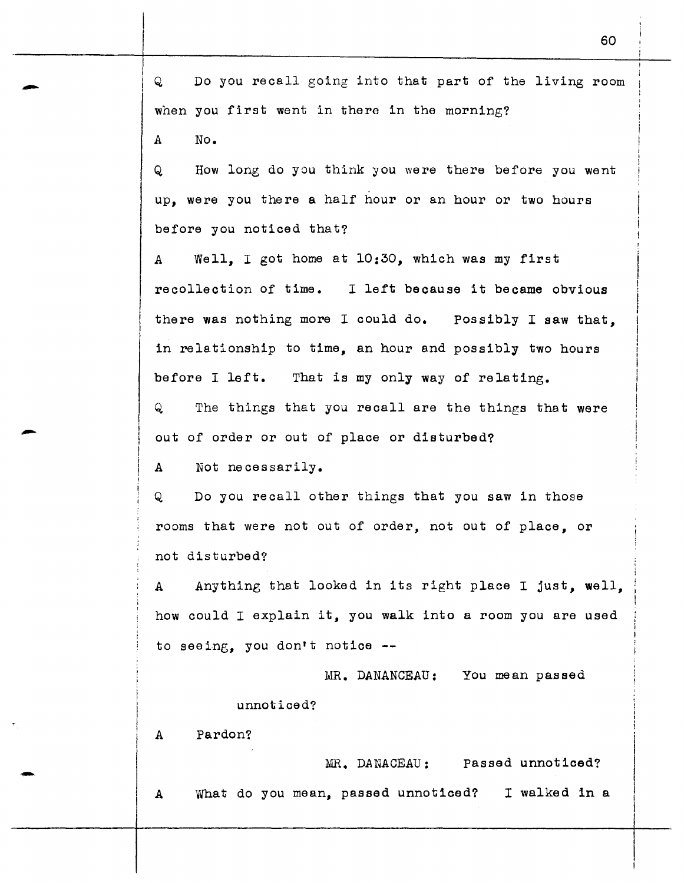Q Do you recall going into that part of the living room when you first went in there in the morning?

A No.

Q How long do you think you were there before you went up, were you there a half hour or an hour or two hours before you noticed that?

A Well, I got home at 10:30, which was my first recollection of time. I left because it became obvious there was nothing more I could do. Possibly I saw that, in relationship to time, an hour and possibly two hours before I left. That is my only way of relating. Q The things that you recall are the things that were

out of order or out of place or disturbed?

A Not necessarily.

Q Do you recall other things that you saw in those rooms that were not out of order, not out of place, or not disturbed?

A Anything that looked in its right place I just, well, how could I explain it, you walk into a room you are used to seeing, you don't notice

MR. DANANCEAU: You mean passed

unnoticed?

A Pardon?

-

MR. DANACEAU: Passed unnoticed? A What do you mean, passed unnoticed? I walked in a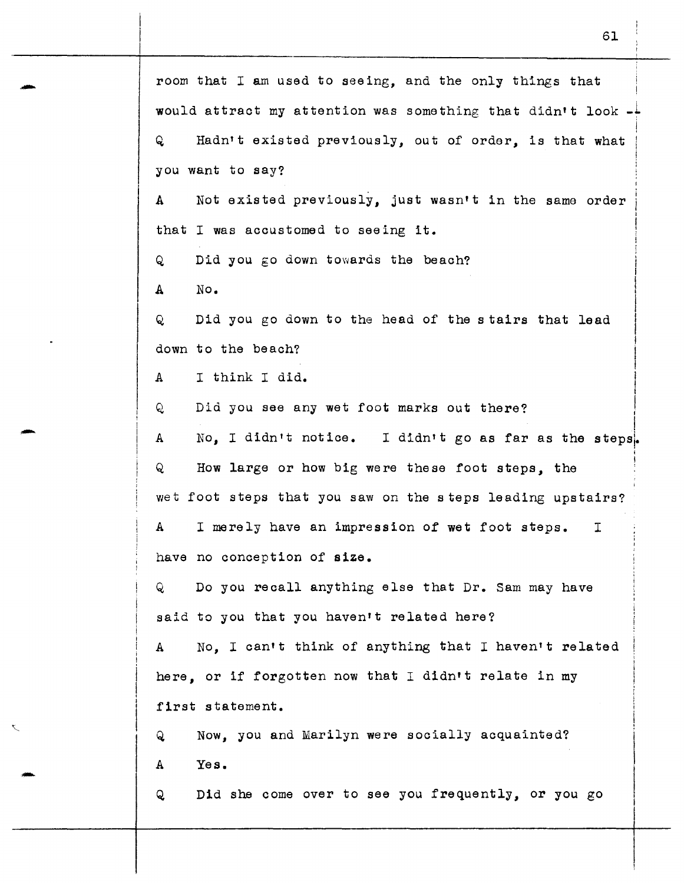room that I am used to seeing, and the only things that would attract my attention was something that didn't look  $-1$ Q Hadn't existed previously, out of order, is that what you want to say? A Not existed previously, just wasn't in the same order that I was accustomed to seeing it. ;  $Q$  Did you go down towards the beach? I  $A$  No.  $\parallel$ Q Did you go down to the head of the stairs that lead I down to the beach? I I A I think I did. I Q Did you see any wet foot marks out there? I I A No. I didn't notice. I didn't go as far as the steps. I I Q How large or how big were these foot steps, the wet foot steps that you saw on the steps leading upstairs? A I merely have an impression of wet foot steps. <sup>I</sup> have no conception of size. Q Do you recall anything else that Dr. Sam may have said to you that you haven't related here? A No, I can•t think of anything that I haven't related here, or if forgotten now that I didn't relate in my first statement. Q Now, you and Marilyn were socially acquainted? A Yes. Q Did she come over to see you frequently, or you go

61

-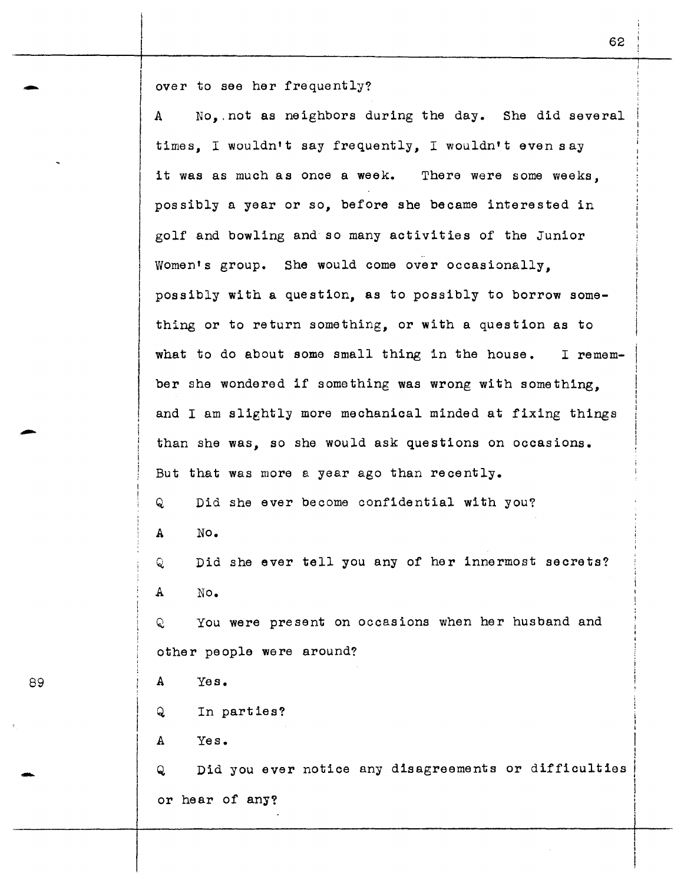over to see her frequently?<br>A Mo. not as neighbors d No, not as neighbors during the day. She did several times, I wouldn•t say frequently, I wouldn't even say it was as much as once a week. There were some weeks. possibly a year or so, before she became interested in golf and bowling and so many activities of the Junior .. Women's group. She would come over occasionally, possibly with a question, as to possibly to borrow something or to return something, or with a question as to what to do about some small thing in the house. I remember she wondered if something was wrong with something. and I am slightly more mechanical minded at fixing things than she was, so she would ask questions on occasions. But that was more a year ago than recently. Q Did she ever become confidential with you? A No. Q Did she ever tell you any of her innermost secrets? A No. Q You were present on occasions when her husband and other people were around? 89 A Yes. Q In parties? A Yes. Q Did you ever notice any disagreements or difficulties or hear of any?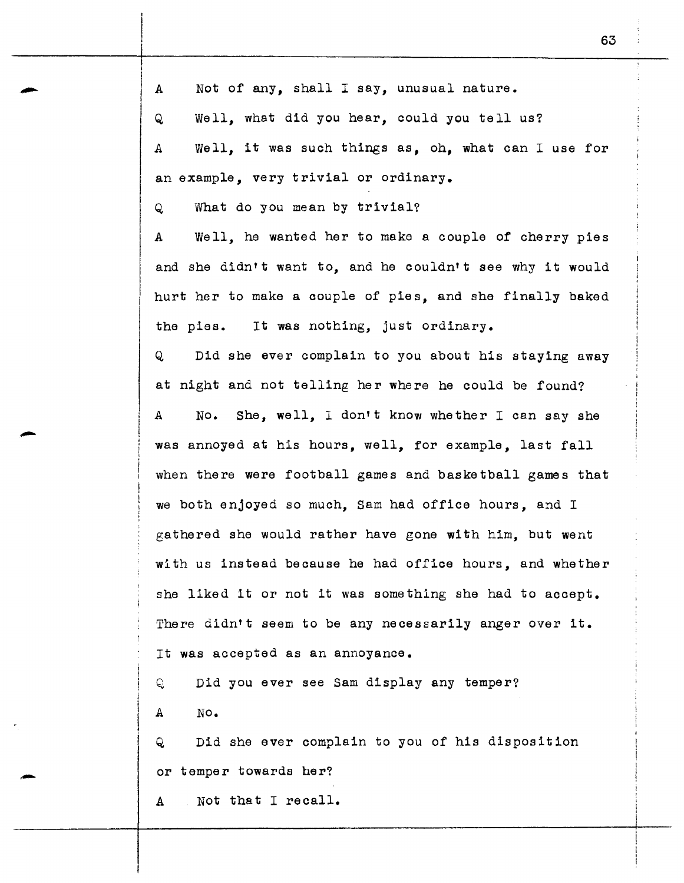A Not of any, shall I say, unusual nature. Q Well, what did you hear, could you tell us? A Well, it was such things as, oh, what can I use for an example, very trivial or ordinary. Q What do you mean by trivial? A Well, he wanted her to make a couple of cherry pies and she didn't want to, and he couldn't see why it would hurt her to make a couple of pies, and she finally baked the pies. It was nothing, just ordinary. Q Did she ever complain to you about his staying away at night and not telling her where he could be found? A No. She, well, I don't know whether I can say she was annoyed at his hours, well, for example, last fall when there were football games and basketball games that we both enjoyed so much, Sam had office hours, and <sup>I</sup> gathered she would rather have gone with him, but went with us instead because he had office hours, and whether she liked it or not it was something she had to accept. There didn't seem to be any necessarily anger over it. It was accepted as an annoyance. Q Did you ever see Sam display any temper? A No. Q Did she ever complain to you of his disposition or temper towards her?

A Not that I recall.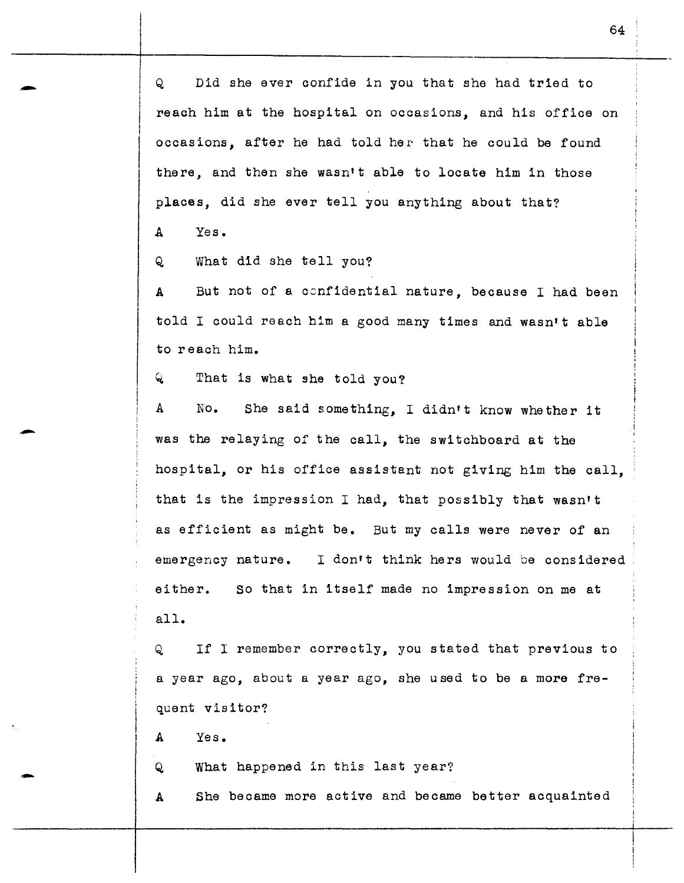Q Did she ever confide in you that she had tried to reach him at the hospital on occasions, and his office on occasions, after he had told her that he could be found there, and then she wasn't able to locate him in those places, did she ever tell you anything about that?

A Yes.

-

-

-

Q What did she tell you?

A But not of a ccnfidential nature, because I had been told I could reach him a good many times and wasn't able to reach him.

 $Q$  That is what she told you?

A No. She said something, I didn't know whether it was the relaying of the call, the switchboard at the hospital, or his office assistant not giving him the call, that is the impression I had, that possibly that wasn't as efficient as might be. But my calls were never of an emergency nature. I don't think hers would be considered either. all. So that in itself made no impression on me at

Q If I remember correctly, you stated that previous to a year ago, about a year ago, she used to be a more frequent visitor?

A Yes.

Q What happened in this last year?

A She became more active and became better acquainted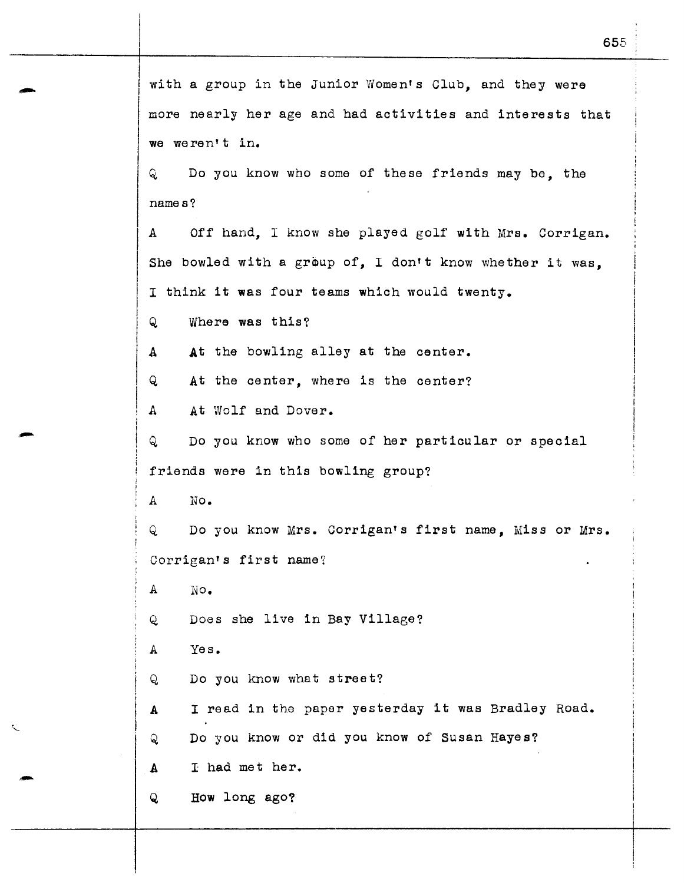with a group in the Junior Women's Club, and they were more nearly her age and had activities and interests that we weren't in. Q Do you know who some of these friends may be, the names? A Off hand, I know she played golf with Mrs. Corrigan. She bowled with a group of, I don't know whether it was. I think it was four teams which would twenty. Q Where was this? A At the bowling alley at the center. Q At the center, where is the center? A At Wolf and Dover. Q Do you know who some of her particular or special friends were in this bowling group? A No. Q Do you know Mrs. Corrigan's first name. Miss or Mrs. Corrigan's first name? *A* No. Q Does she live in Bay Village? *A* Yes. Q Do you know what street? A I read in the paper yesterday it was Bradley Road. Q Do you know or did you know of Susan Hayes? A I had met her. Q How long ago?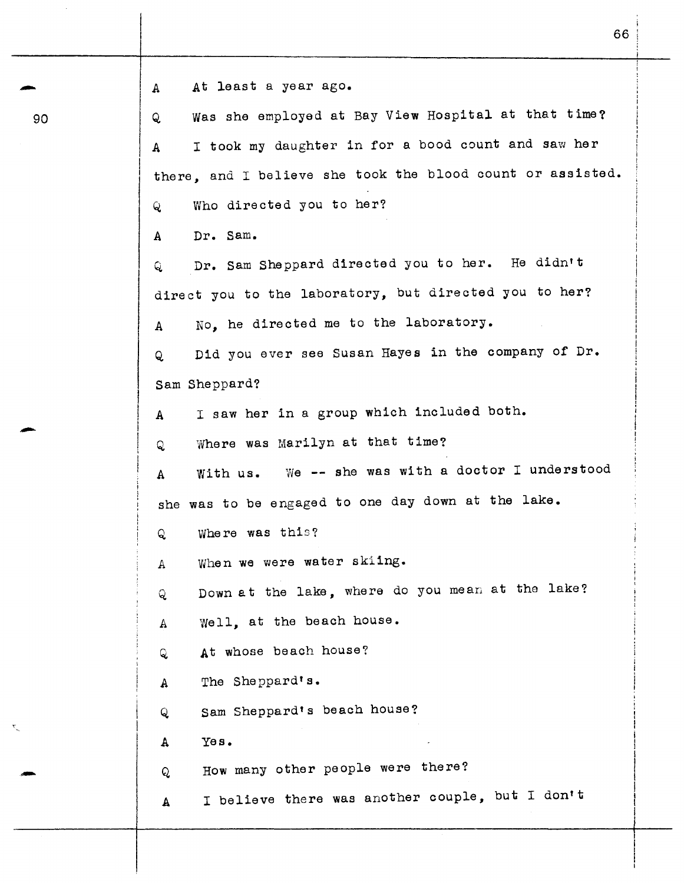|  | At least a year ago. |  |  |
|--|----------------------|--|--|
|  |                      |  |  |

90

-

-

A Q, Was she employed at Bay View Hospital at that time? A I took my daughter in for a bood count and saw her there, and I believe she took the blood count or assisted. Q Who directed you to her? A Dr. Sam. Q Dr. Sam Sheppard directed you to her. He didn't direct you to the laboratory, but directed you to her? A No, he directed me to the laboratory. Q Did you ever see Susan Hayes in the company of Dr. Sam Sheppard? A I saw her in a group which included both. Q Vvhere was Marilyn at that time? A With us. we -- she was with a doctor I understood she was to be engaged to one day down at the lake. Q Where was this? A When we were water skiing. Q Down at the lake, where do you mean at the lake? A Well, at the beach house. Q At whose beach house? A The Sheppard' s. Q Sam Sheppard's beach house? A Yes. Q How many other people were there? A I believe there was another couple, but I don't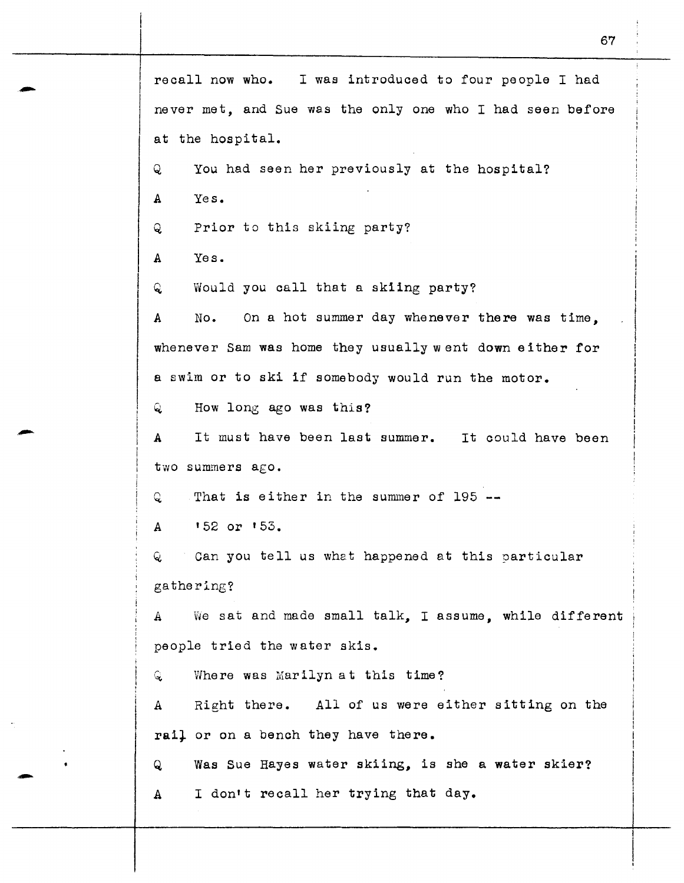recall now who. I was introduced to four people I had never met, and Sue was the only one who I had seen before at the hospital. Q You had seen her previously at the hospital? A Yes. Q Prior to this skiing party? A Yes. Q. Would you call that a skiing party? A No. On a hot summer day whenever there was time, whenever Sam was home they usually went down either for a swim or to ski if somebody would run the motor. Q How long ago was this? <sup>A</sup>It must have been last summer. It could have been two summers ago. Q. That is either in the summer of 195 -- A 152 or '53. Q Can you tell us what happened at this particular gathering? A We sat and made small talk, I assume, while different people tried the water skis. Q, Where was Marilyn at this time? A Right there. All of us were either sitting on the rail or on a bench they have there. Q Was Sue Hayes water skiing, is she a water skier? A I don't recall her trying that day.

67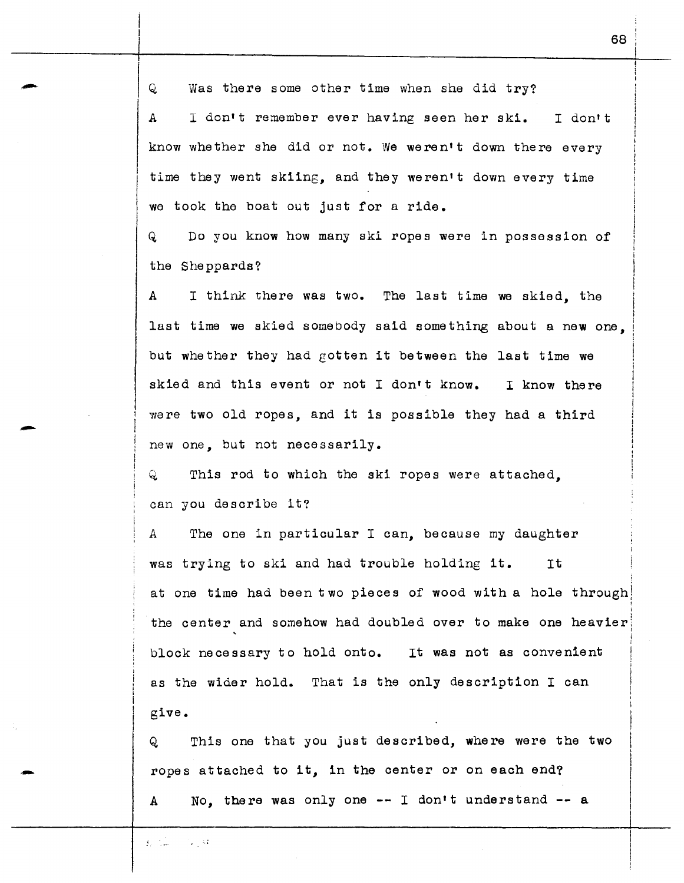Q Was there some other time when she did try?

A I don•t remember ever having seen her ski. I don't know whether she did or not. We weren't down there every time they went skiing, and they weren't down every time we took the boat out just for a ride.

Q Do you know how many ski ropes were in possession of the She ppards?

A I think there was two. The last time we skied, the last time we skied somebody said something about a new one, but whether they had gotten it between the last time we skied and this event or not I don't know. I know there were two old ropes, and it is possible they had a third new one, but not necessarily.

Q This rod to which the ski ropes were attached, can you describe it?

*<sup>A</sup>*The one in particular I can, because my daughter was trying to ski and had trouble holding it. It i at one time had been two pieces of wood with a hole through) the center and somehow had doubled over to make one heavier block necessary to hold onto. It was not as convenient as the wider hold. That is the only description I can give.

Q This one that you just described, where were the two ropes attached to it, in the center or on each end? A No, there was only one -- I don't understand -- a

 $\mathcal{L} = \mathcal{L}$  $\sim$  1.5

-

-

-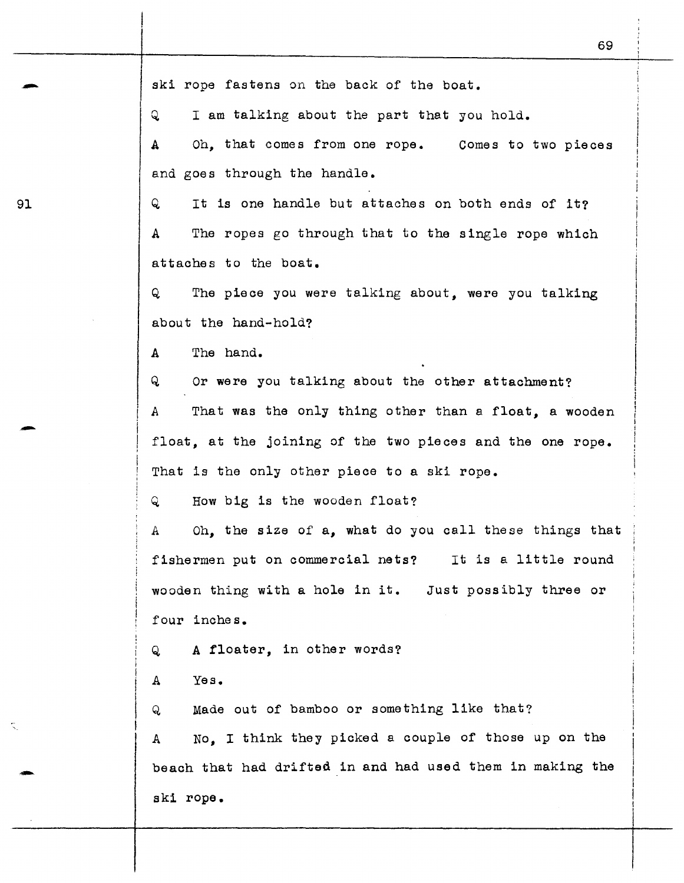ski rope fastens on the back of the boat.<br>Q is am talking about the part that you

I am talking about the part that you hold.

A Oh, that comes from one rope. Comes to two pieces and goes through the handle.

91 Q It is one handle but attaches on both ends of it? A The ropes go through that to the single rope which attaches to the boat.

> Q The piece you were talking about, were you talking about the hand-hold?

A The hand.

Q Or were you talking about the other attachment?

A That was the only thing other than a float, a wooden float, at the joining of the two pieces and the one rope. That is the only other piece to a ski rope.

Q How big is the wooden float?

A Oh, the size of a, what do you call these things that ' fishermen put on commercial nets? It is a little round wooden thing with a hole in it. Just possibly three or four inches.

Q A floater, in other words?

A Yes.

-'-

Q Made out of bamboo or something like that?

A No, I think they picked a couple of those up on the beach that had drifted in and had used them in making the ski rope.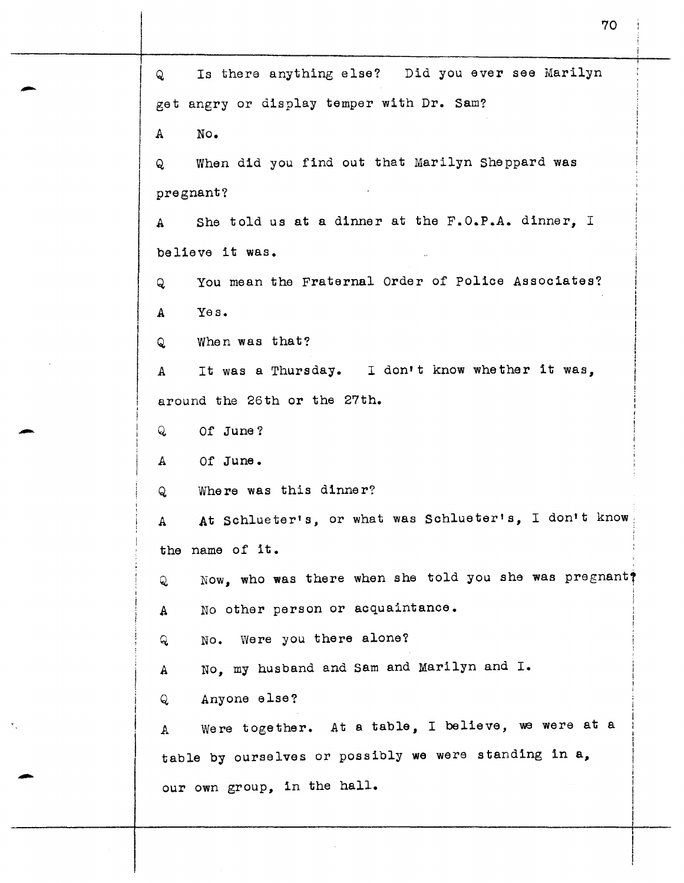Q Is there anything else? Did you ever see Marilyn get angry or display temper with Dr. Sam? A No. Q When did you find out that Marilyn Sheppard was pregnant? A She told us at a dinner at the F.O.P.A. dinner, I believe it was. Q You mean the Fraternal Order of Police Associates? A Yes. Q When was that? A It was a Thursday. I don't know whether it was, around the 26th or the 27th. Q Of June? A Of June. Q Where was this dinner? A At Schlueter's, or what was Schlueter's, I don't know the name of it. Q Now, who was there when she told you she was pregnant? A No other person or acquaintance. Q No. were you there alone? A No, my husband and Sam and Marilyn and I. Q Anyone else? A Were together. At a table, I believe, we were at a table by ourselves or possibly we were standing in a, our own group, in the hall.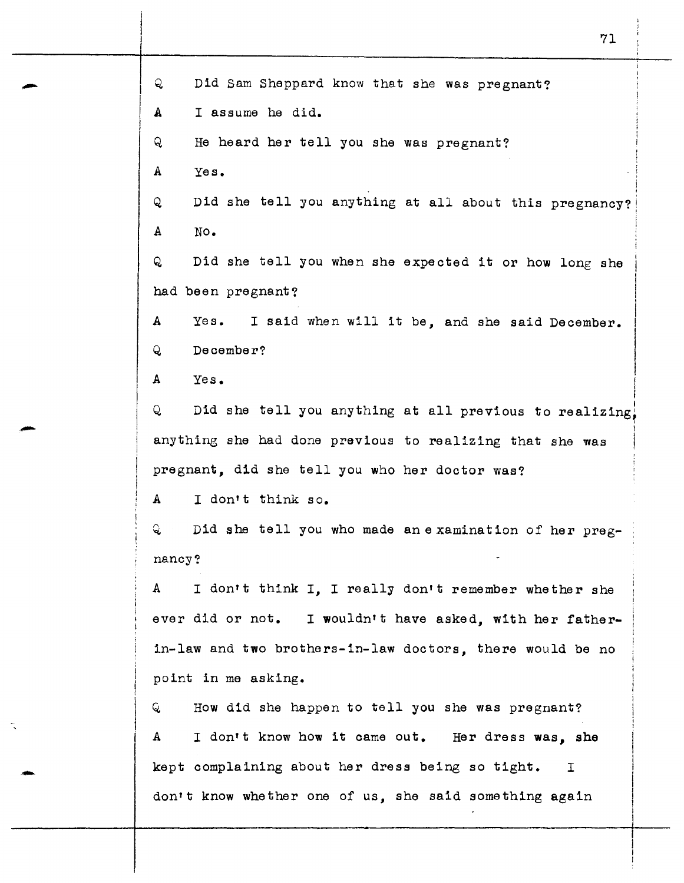Q Did Sam Sheppard know that she was pregnant? **A** I assume he did. Q He heard her tell you she was pregnant? A Yes. Q Did she tell you anything at all about this pregnancy? A No. Q Did she tell you when she expected it or how long she had been pregnant? A Yes. I said when will it be, and she said December. Q December? A Yes. !  $\mathbf{I}$ Q Did she tell you anything at all previous to realizing! I anything she had done previous to realizing that she was pregnant, did she tell you who her doctor was? A I don't think so. Q. Did she tell you who made an examination of her pregnancy? A I don't think I, I really don't remember whether she ever did or not. I wouldn't have asked, with her fatherin-law and two brothers-in-law doctors, there would be no point in me asking. Q How did she happen to tell you she was pregnant? <sup>A</sup>I don't know how **it** came out. Her dress **was, she**  kept complaining about her dress being so tight. <sup>I</sup> don't know whether one of us, she said something again

71

-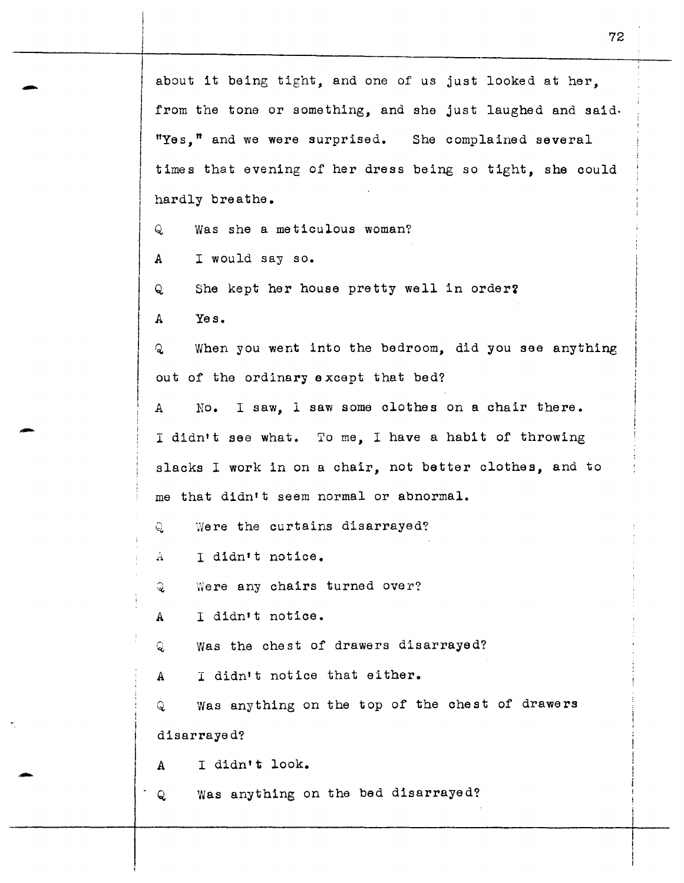$\vert$  $\vert$  $\vert$ I I about it being tight, and one of us just looked at her, from the tone or something, and she just laughed and said. "Yes," and we were surprised. She complained several times that evening of her dress being so tight, she could hardly breathe. Q Was she a meticulous woman? A I would say so. Q She kept her house pretty well in order? A Yes. Q When you went lnto the bedroom, did you see anything out of the ordinary except that bed? A No. I saw, 1 saw some clothes on a chair there. I didn't see what. To me, I have a habit of throwing slacks I work in on a chair, not better clothes, and to me that didn't seem normal or abnormal. Q Were the curtains disarrayed? A I didn't notice. Q Were any chairs turned over? A I didn•t notice. Q was the chest of drawers disarrayed? A I didn't notice that either. Q Was anything on the top of the chest of drawers disarrayed? A I didn't look. Q Was anything on the bed disarrayed?